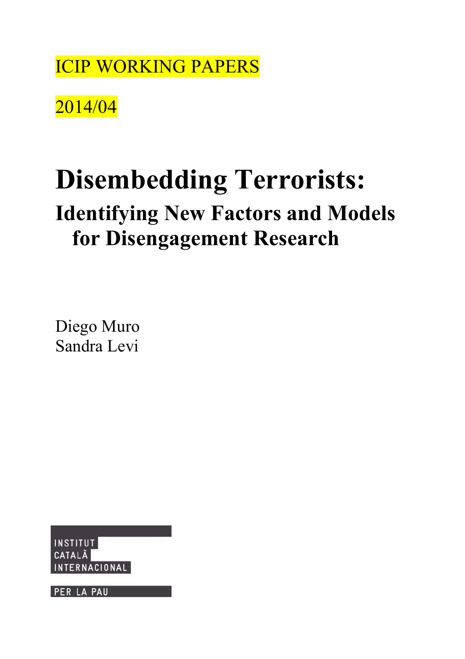ICIP WORKING PAPERS

2014/04

# **Disembedding Terrorists: Identifying New Factors and Models for Disengagement Research**

Diego Muro Sandra Levi

INSTITUT ERNACIONAL

PER LA PAU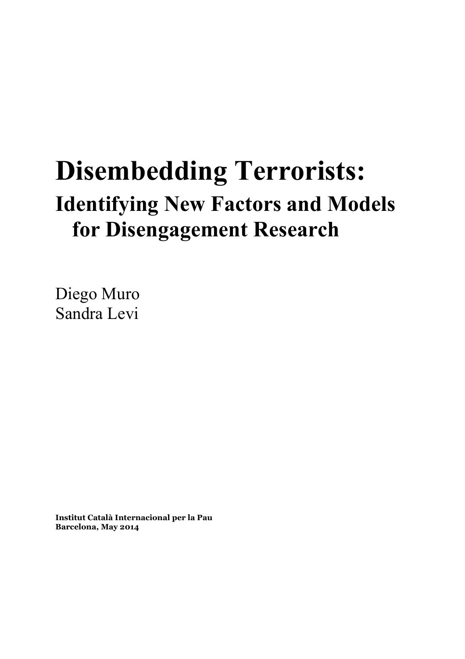# **Disembedding Terrorists: Identifying New Factors and Models for Disengagement Research**

Diego Muro Sandra Levi

**Institut Català Internacional per la Pau Barcelona, May 2014**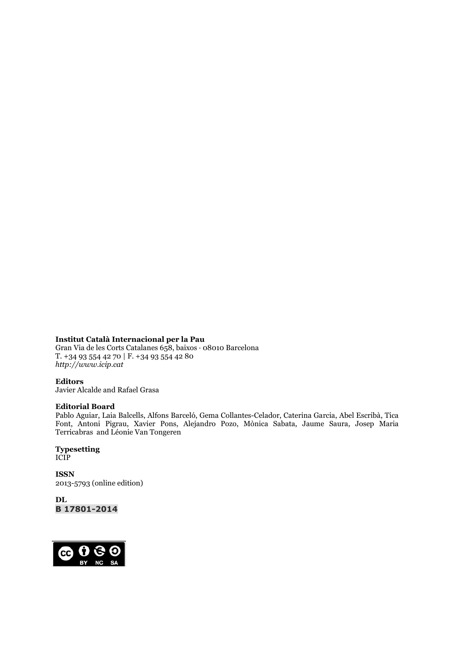#### **Institut Català Internacional per la Pau**

Gran Via de les Corts Catalanes 658, baixos · 08010 Barcelona T. +34 93 554 42 70 | F. +34 93 554 42 80 *http://www.icip.cat*

**Editors**

Javier Alcalde and Rafael Grasa

#### **Editorial Board**

Pablo Aguiar, Laia Balcells, Alfons Barceló, Gema Collantes-Celador, Caterina Garcia, Abel Escribà, Tica Font, Antoni Pigrau, Xavier Pons, Alejandro Pozo, Mònica Sabata, Jaume Saura, Josep Maria Terricabras and Léonie Van Tongeren

**Typesetting** ICIP

**ISSN** 2013-5793 (online edition)

**DL B 17801-2014**

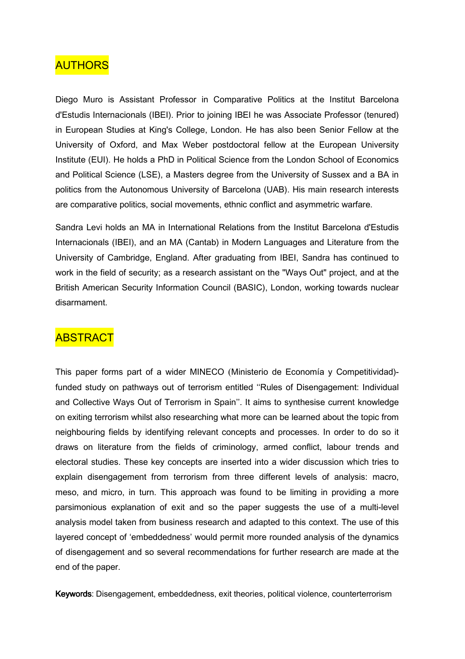### **AUTHORS**

Diego Muro is Assistant Professor in Comparative Politics at the Institut Barcelona d'Estudis Internacionals (IBEI). Prior to joining IBEI he was Associate Professor (tenured) in European Studies at King's College, London. He has also been Senior Fellow at the University of Oxford, and Max Weber postdoctoral fellow at the European University Institute (EUI). He holds a PhD in Political Science from the London School of Economics and Political Science (LSE), a Masters degree from the University of Sussex and a BA in politics from the Autonomous University of Barcelona (UAB). His main research interests are comparative politics, social movements, ethnic conflict and asymmetric warfare.

Sandra Levi holds an MA in International Relations from the Institut Barcelona d'Estudis Internacionals (IBEI), and an MA (Cantab) in Modern Languages and Literature from the University of Cambridge, England. After graduating from IBEI, Sandra has continued to work in the field of security; as a research assistant on the "Ways Out" project, and at the British American Security Information Council (BASIC), London, working towards nuclear disarmament.

### ABSTRACT

This paper forms part of a wider MINECO (Ministerio de Economía y Competitividad) funded study on pathways out of terrorism entitled ''Rules of Disengagement: Individual and Collective Ways Out of Terrorism in Spain''. It aims to synthesise current knowledge on exiting terrorism whilst also researching what more can be learned about the topic from neighbouring fields by identifying relevant concepts and processes. In order to do so it draws on literature from the fields of criminology, armed conflict, labour trends and electoral studies. These key concepts are inserted into a wider discussion which tries to explain disengagement from terrorism from three different levels of analysis: macro, meso, and micro, in turn. This approach was found to be limiting in providing a more parsimonious explanation of exit and so the paper suggests the use of a multi-level analysis model taken from business research and adapted to this context. The use of this layered concept of 'embeddedness' would permit more rounded analysis of the dynamics of disengagement and so several recommendations for further research are made at the end of the paper.

Keywords: Disengagement, embeddedness, exit theories, political violence, counterterrorism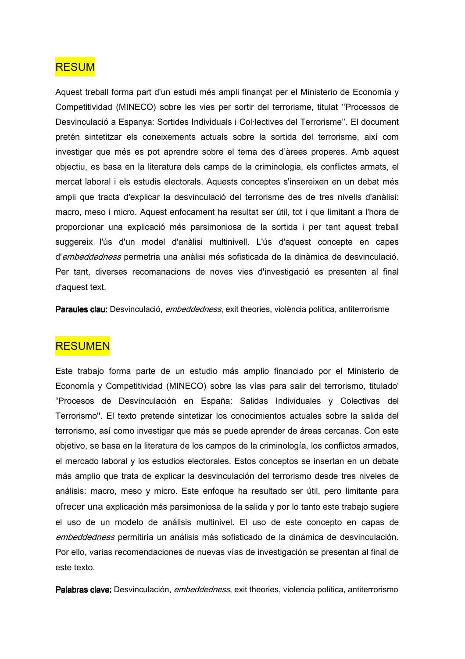#### **RESUM**

Aquest treball forma part d'un estudi més ampli finançat per el Ministerio de Economía y Competitividad (MINECO) sobre les vies per sortir del terrorisme, titulat ''Processos de Desvinculació a Espanya: Sortides Individuals i Col·lectives del Terrorisme''. El document pretén sintetitzar els coneixements actuals sobre la sortida del terrorisme, així com investigar que més es pot aprendre sobre el tema des d'àrees properes. Amb aquest objectiu, es basa en la literatura dels camps de la criminologia, els conflictes armats, el mercat laboral i els estudis electorals. Aquests conceptes s'insereixen en un debat més ampli que tracta d'explicar la desvinculació del terrorisme des de tres nivells d'anàlisi: macro, meso i micro. Aquest enfocament ha resultat ser útil, tot i que limitant a l'hora de proporcionar una explicació més parsimoniosa de la sortida i per tant aquest treball suggereix l'ús d'un model d'anàlisi multinivell. L'ús d'aquest concepte en capes d'embeddedness permetria una anàlisi més sofisticada de la dinàmica de desvinculació. Per tant, diverses recomanacions de noves vies d'investigació es presenten al final d'aquest text.

Paraules clau: Desvinculació, *embeddedness*, exit theories, violència política, antiterrorisme

### **RESUMEN**

Este trabajo forma parte de un estudio más amplio financiado por el Ministerio de Economía y Competitividad (MINECO) sobre las vías para salir del terrorismo, titulado' "Procesos de Desvinculación en España: Salidas Individuales y Colectivas del Terrorismo''. El texto pretende sintetizar los conocimientos actuales sobre la salida del terrorismo, así como investigar que más se puede aprender de áreas cercanas. Con este objetivo, se basa en la literatura de los campos de la criminología, los conflictos armados, el mercado laboral y los estudios electorales. Estos conceptos se insertan en un debate más amplio que trata de explicar la desvinculación del terrorismo desde tres niveles de análisis: macro, meso y micro. Este enfoque ha resultado ser útil, pero limitante para ofrecer una explicación más parsimoniosa de la salida y por lo tanto este trabajo sugiere el uso de un modelo de análisis multinivel. El uso de este concepto en capas de embeddedness permitiría un análisis más sofisticado de la dinámica de desvinculación. Por ello, varias recomendaciones de nuevas vías de investigación se presentan al final de este texto.

Palabras clave: Desvinculación, *embeddedness*, exit theories, violencia política, antiterrorismo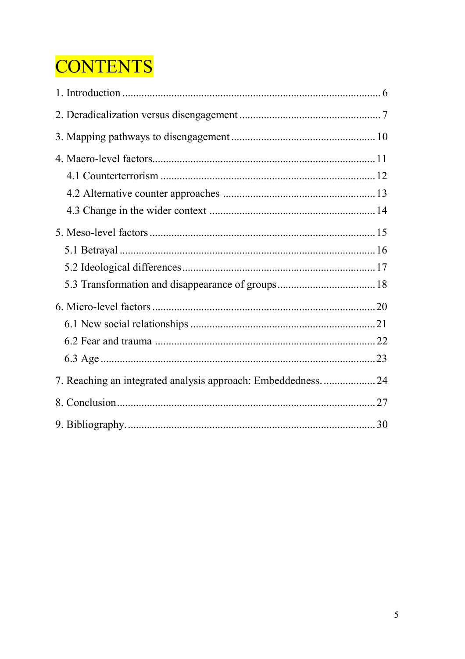## **CONTENTS**

| 5.3 Transformation and disappearance of groups 18 |  |
|---------------------------------------------------|--|
|                                                   |  |
|                                                   |  |
|                                                   |  |
|                                                   |  |
|                                                   |  |
|                                                   |  |
|                                                   |  |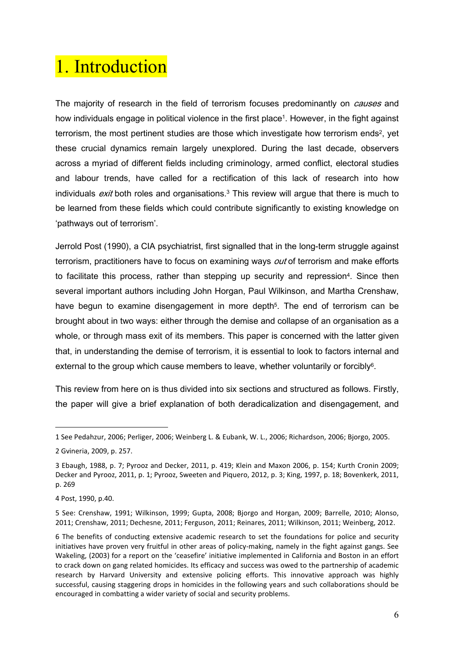## 1. Introduction

The majority of research in the field of terrorism focuses predominantly on *causes* and how individuals engage in political violence in the first place<sup>1</sup>. However, in the fight against terrorism, the most pertinent studies are those which investigate how terrorism ends<sup>2</sup>, yet these crucial dynamics remain largely unexplored. During the last decade, observers across a myriad of different fields including criminology, armed conflict, electoral studies and labour trends, have called for a rectification of this lack of research into how individuals *exit* both roles and organisations.<sup>3</sup> This review will argue that there is much to be learned from these fields which could contribute significantly to existing knowledge on 'pathways out of terrorism'.

Jerrold Post (1990), a CIA psychiatrist, first signalled that in the long-term struggle against terrorism, practitioners have to focus on examining ways *out* of terrorism and make efforts to facilitate this process, rather than stepping up security and repression<sup>4</sup>. Since then several important authors including John Horgan, Paul Wilkinson, and Martha Crenshaw, have begun to examine disengagement in more depth<sup>5</sup>. The end of terrorism can be brought about in two ways: either through the demise and collapse of an organisation as a whole, or through mass exit of its members. This paper is concerned with the latter given that, in understanding the demise of terrorism, it is essential to look to factors internal and external to the group which cause members to leave, whether voluntarily or forcibly<sup>6</sup>.

This review from here on is thus divided into six sections and structured as follows. Firstly, the paper will give a brief explanation of both deradicalization and disengagement, and

<sup>1</sup> See Pedahzur, 2006; Perliger, 2006; Weinberg L. & Eubank, W. L., 2006; Richardson, 2006; Bjorgo, 2005.

<sup>2</sup> Gvineria, 2009, p. 257.

<sup>3</sup> Ebaugh, 1988, p. 7; Pyrooz and Decker, 2011, p. 419; Klein and Maxon 2006, p. 154; Kurth Cronin 2009; Decker and Pyrooz, 2011, p. 1; Pyrooz, Sweeten and Piquero, 2012, p. 3; King, 1997, p. 18; Bovenkerk, 2011, p. 269

<sup>4</sup> Post, 1990, p.40.

<sup>5</sup> See: Crenshaw, 1991; Wilkinson, 1999; Gupta, 2008; Bjorgo and Horgan, 2009; Barrelle, 2010; Alonso, 2011; Crenshaw, 2011; Dechesne, 2011; Ferguson, 2011; Reinares, 2011; Wilkinson, 2011; Weinberg, 2012.

<sup>6</sup> The benefits of conducting extensive academic research to set the foundations for police and security initiatives have proven very fruitful in other areas of policy-making, namely in the fight against gangs. See Wakeling, (2003) for a report on the 'ceasefire' initiative implemented in California and Boston in an effort to crack down on gang related homicides. Its efficacy and success was owed to the partnership of academic research by Harvard University and extensive policing efforts. This innovative approach was highly successful, causing staggering drops in homicides in the following years and such collaborations should be encouraged in combatting a wider variety of social and security problems.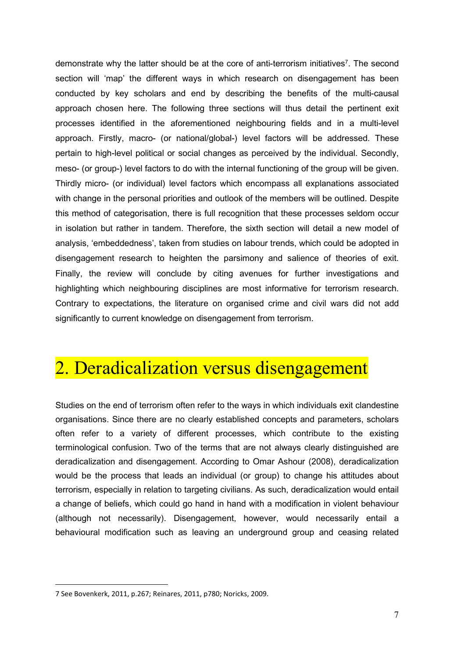demonstrate why the latter should be at the core of anti-terrorism initiatives<sup>7</sup>. The second section will 'map' the different ways in which research on disengagement has been conducted by key scholars and end by describing the benefits of the multi-causal approach chosen here. The following three sections will thus detail the pertinent exit processes identified in the aforementioned neighbouring fields and in a multi-level approach. Firstly, macro- (or national/global-) level factors will be addressed. These pertain to high-level political or social changes as perceived by the individual. Secondly, meso- (or group-) level factors to do with the internal functioning of the group will be given. Thirdly micro- (or individual) level factors which encompass all explanations associated with change in the personal priorities and outlook of the members will be outlined. Despite this method of categorisation, there is full recognition that these processes seldom occur in isolation but rather in tandem. Therefore, the sixth section will detail a new model of analysis, 'embeddedness', taken from studies on labour trends, which could be adopted in disengagement research to heighten the parsimony and salience of theories of exit. Finally, the review will conclude by citing avenues for further investigations and highlighting which neighbouring disciplines are most informative for terrorism research. Contrary to expectations, the literature on organised crime and civil wars did not add significantly to current knowledge on disengagement from terrorism.

## 2. Deradicalization versus disengagement

Studies on the end of terrorism often refer to the ways in which individuals exit clandestine organisations. Since there are no clearly established concepts and parameters, scholars often refer to a variety of different processes, which contribute to the existing terminological confusion. Two of the terms that are not always clearly distinguished are deradicalization and disengagement. According to Omar Ashour (2008), deradicalization would be the process that leads an individual (or group) to change his attitudes about terrorism, especially in relation to targeting civilians. As such, deradicalization would entail a change of beliefs, which could go hand in hand with a modification in violent behaviour (although not necessarily). Disengagement, however, would necessarily entail a behavioural modification such as leaving an underground group and ceasing related

<sup>7</sup> See Bovenkerk, 2011, p.267; Reinares, 2011, p780; Noricks, 2009.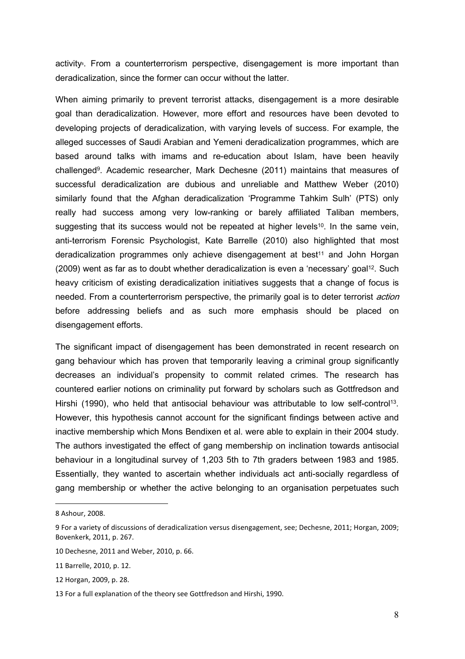activity<sup>8</sup>. From a counterterrorism perspective, disengagement is more important than deradicalization, since the former can occur without the latter.

When aiming primarily to prevent terrorist attacks, disengagement is a more desirable goal than deradicalization. However, more effort and resources have been devoted to developing projects of deradicalization, with varying levels of success. For example, the alleged successes of Saudi Arabian and Yemeni deradicalization programmes, which are based around talks with imams and re-education about Islam, have been heavily challenged<sup>9</sup>. Academic researcher, Mark Dechesne (2011) maintains that measures of successful deradicalization are dubious and unreliable and Matthew Weber (2010) similarly found that the Afghan deradicalization 'Programme Tahkim Sulh' (PTS) only really had success among very low-ranking or barely affiliated Taliban members, suggesting that its success would not be repeated at higher levels<sup>10</sup>. In the same vein, anti-terrorism Forensic Psychologist, Kate Barrelle (2010) also highlighted that most deradicalization programmes only achieve disengagement at best<sup>11</sup> and John Horgan (2009) went as far as to doubt whether deradicalization is even a 'necessary' goal<sup>12</sup>. Such heavy criticism of existing deradicalization initiatives suggests that a change of focus is needed. From a counterterrorism perspective, the primarily goal is to deter terrorist *action* before addressing beliefs and as such more emphasis should be placed on disengagement efforts.

The significant impact of disengagement has been demonstrated in recent research on gang behaviour which has proven that temporarily leaving a criminal group significantly decreases an individual's propensity to commit related crimes. The research has countered earlier notions on criminality put forward by scholars such as Gottfredson and Hirshi (1990), who held that antisocial behaviour was attributable to low self-control<sup>13</sup>. However, this hypothesis cannot account for the significant findings between active and inactive membership which Mons Bendixen et al. were able to explain in their 2004 study. The authors investigated the effect of gang membership on inclination towards antisocial behaviour in a longitudinal survey of 1,203 5th to 7th graders between 1983 and 1985. Essentially, they wanted to ascertain whether individuals act anti-socially regardless of gang membership or whether the active belonging to an organisation perpetuates such

<sup>8</sup> Ashour, 2008.

<sup>9</sup> For a variety of discussions of deradicalization versus disengagement, see; Dechesne, 2011; Horgan, 2009; Bovenkerk, 2011, p. 267.

<sup>10</sup> Dechesne, 2011 and Weber, 2010, p. 66.

<sup>11</sup> Barrelle, 2010, p. 12.

<sup>12</sup> Horgan, 2009, p. 28.

<sup>13</sup> For a full explanation of the theory see Gottfredson and Hirshi, 1990.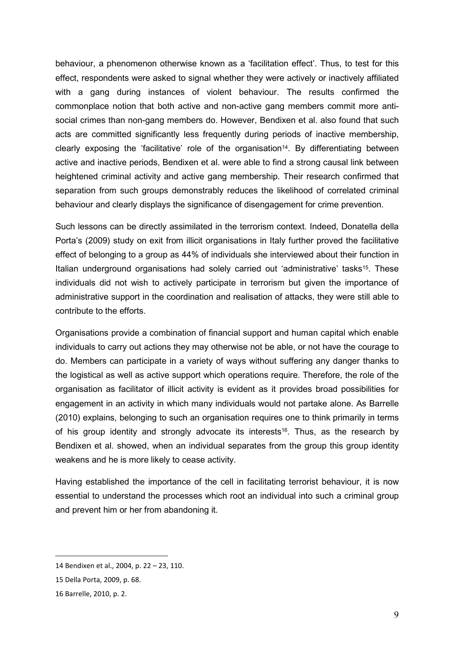behaviour, a phenomenon otherwise known as a 'facilitation effect'. Thus, to test for this effect, respondents were asked to signal whether they were actively or inactively affiliated with a gang during instances of violent behaviour. The results confirmed the commonplace notion that both active and non-active gang members commit more antisocial crimes than non-gang members do. However, Bendixen et al. also found that such acts are committed significantly less frequently during periods of inactive membership, clearly exposing the 'facilitative' role of the organisation<sup>14</sup>. By differentiating between active and inactive periods, Bendixen et al. were able to find a strong causal link between heightened criminal activity and active gang membership. Their research confirmed that separation from such groups demonstrably reduces the likelihood of correlated criminal behaviour and clearly displays the significance of disengagement for crime prevention.

Such lessons can be directly assimilated in the terrorism context. Indeed, Donatella della Porta's (2009) study on exit from illicit organisations in Italy further proved the facilitative effect of belonging to a group as 44% of individuals she interviewed about their function in Italian underground organisations had solely carried out 'administrative' tasks<sup>15</sup>. These individuals did not wish to actively participate in terrorism but given the importance of administrative support in the coordination and realisation of attacks, they were still able to contribute to the efforts.

Organisations provide a combination of financial support and human capital which enable individuals to carry out actions they may otherwise not be able, or not have the courage to do. Members can participate in a variety of ways without suffering any danger thanks to the logistical as well as active support which operations require. Therefore, the role of the organisation as facilitator of illicit activity is evident as it provides broad possibilities for engagement in an activity in which many individuals would not partake alone. As Barrelle (2010) explains, belonging to such an organisation requires one to think primarily in terms of his group identity and strongly advocate its interests<sup>16</sup>. Thus, as the research by Bendixen et al. showed, when an individual separates from the group this group identity weakens and he is more likely to cease activity.

Having established the importance of the cell in facilitating terrorist behaviour, it is now essential to understand the processes which root an individual into such a criminal group and prevent him or her from abandoning it.

<sup>14</sup> Bendixen et al., 2004, p. 22 – 23, 110.

<sup>15</sup> Della Porta, 2009, p. 68.

<sup>16</sup> Barrelle, 2010, p. 2.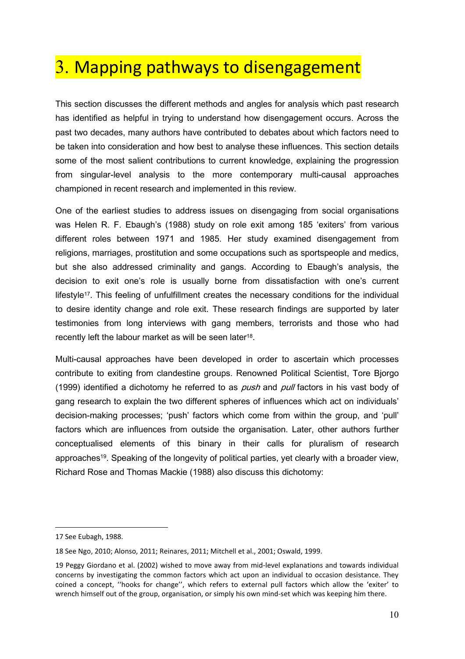## 3. Mapping pathways to disengagement

This section discusses the different methods and angles for analysis which past research has identified as helpful in trying to understand how disengagement occurs. Across the past two decades, many authors have contributed to debates about which factors need to be taken into consideration and how best to analyse these influences. This section details some of the most salient contributions to current knowledge, explaining the progression from singular-level analysis to the more contemporary multi-causal approaches championed in recent research and implemented in this review.

One of the earliest studies to address issues on disengaging from social organisations was Helen R. F. Ebaugh's (1988) study on role exit among 185 'exiters' from various different roles between 1971 and 1985. Her study examined disengagement from religions, marriages, prostitution and some occupations such as sportspeople and medics, but she also addressed criminality and gangs. According to Ebaugh's analysis, the decision to exit one's role is usually borne from dissatisfaction with one's current lifestyle<sup>17</sup>. This feeling of unfulfillment creates the necessary conditions for the individual to desire identity change and role exit. These research findings are supported by later testimonies from long interviews with gang members, terrorists and those who had recently left the labour market as will be seen later<sup>18</sup>.

Multi-causal approaches have been developed in order to ascertain which processes contribute to exiting from clandestine groups. Renowned Political Scientist, Tore Bjorgo (1999) identified a dichotomy he referred to as  $push$  and  $pull$  factors in his vast body of gang research to explain the two different spheres of influences which act on individuals' decision-making processes; 'push' factors which come from within the group, and 'pull' factors which are influences from outside the organisation. Later, other authors further conceptualised elements of this binary in their calls for pluralism of research approaches19. Speaking of the longevity of political parties, yet clearly with a broader view, Richard Rose and Thomas Mackie (1988) also discuss this dichotomy:

<sup>17</sup> See Eubagh, 1988.

<sup>18</sup> See Ngo, 2010; Alonso, 2011; Reinares, 2011; Mitchell et al., 2001; Oswald, 1999.

<sup>19</sup> Peggy Giordano et al. (2002) wished to move away from mid-level explanations and towards individual concerns by investigating the common factors which act upon an individual to occasion desistance. They coined a concept, ''hooks for change'', which refers to external pull factors which allow the 'exiter' to wrench himself out of the group, organisation, or simply his own mind-set which was keeping him there.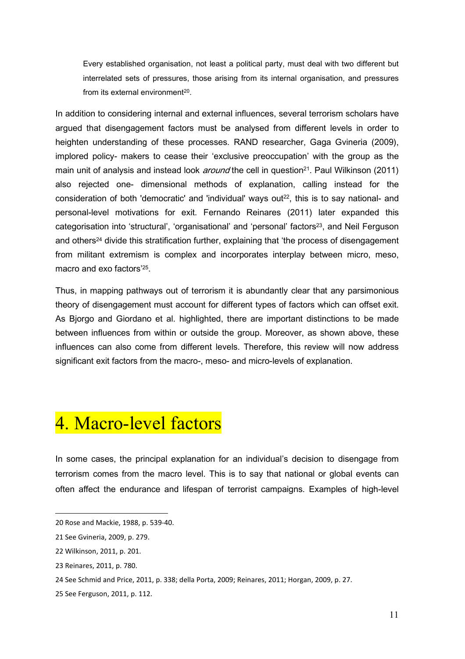Every established organisation, not least a political party, must deal with two different but interrelated sets of pressures, those arising from its internal organisation, and pressures from its external environment<sup>20</sup>.

In addition to considering internal and external influences, several terrorism scholars have argued that disengagement factors must be analysed from different levels in order to heighten understanding of these processes. RAND researcher, Gaga Gvineria (2009), implored policy- makers to cease their 'exclusive preoccupation' with the group as the main unit of analysis and instead look *around* the cell in question<sup>21</sup>. Paul Wilkinson (2011) also rejected one- dimensional methods of explanation, calling instead for the consideration of both 'democratic' and 'individual' ways out<sup>22</sup>, this is to say national- and personal-level motivations for exit. Fernando Reinares (2011) later expanded this categorisation into 'structural', 'organisational' and 'personal' factors<sup>23</sup>, and Neil Ferguson and others<sup>24</sup> divide this stratification further, explaining that 'the process of disengagement from militant extremism is complex and incorporates interplay between micro, meso, macro and exo factors'<sup>25</sup> .

Thus, in mapping pathways out of terrorism it is abundantly clear that any parsimonious theory of disengagement must account for different types of factors which can offset exit. As Bjorgo and Giordano et al. highlighted, there are important distinctions to be made between influences from within or outside the group. Moreover, as shown above, these influences can also come from different levels. Therefore, this review will now address significant exit factors from the macro-, meso- and micro-levels of explanation.

## 4. Macro-level factors

In some cases, the principal explanation for an individual's decision to disengage from terrorism comes from the macro level. This is to say that national or global events can often affect the endurance and lifespan of terrorist campaigns. Examples of high-level

<sup>20</sup> Rose and Mackie, 1988, p. 539-40.

<sup>21</sup> See Gvineria, 2009, p. 279.

<sup>22</sup> Wilkinson, 2011, p. 201.

<sup>23</sup> Reinares, 2011, p. 780.

<sup>24</sup> See Schmid and Price, 2011, p. 338; della Porta, 2009; Reinares, 2011; Horgan, 2009, p. 27.

<sup>25</sup> See Ferguson, 2011, p. 112.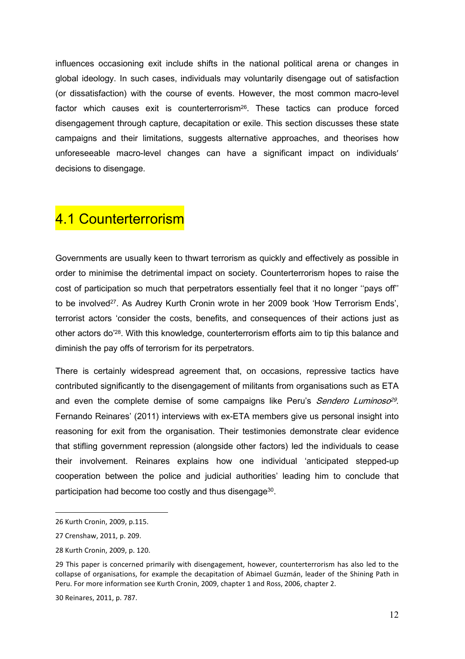influences occasioning exit include shifts in the national political arena or changes in global ideology. In such cases, individuals may voluntarily disengage out of satisfaction (or dissatisfaction) with the course of events. However, the most common macro-level factor which causes exit is counterterrorism<sup>26</sup>. These tactics can produce forced disengagement through capture, decapitation or exile. This section discusses these state campaigns and their limitations, suggests alternative approaches, and theorises how unforeseeable macro-level changes can have a significant impact on individuals' decisions to disengage.

### 4.1 Counterterrorism

Governments are usually keen to thwart terrorism as quickly and effectively as possible in order to minimise the detrimental impact on society. Counterterrorism hopes to raise the cost of participation so much that perpetrators essentially feel that it no longer ''pays off'' to be involved<sup>27</sup>. As Audrey Kurth Cronin wrote in her 2009 book 'How Terrorism Ends', terrorist actors 'consider the costs, benefits, and consequences of their actions just as other actors do'28. With this knowledge, counterterrorism efforts aim to tip this balance and diminish the pay offs of terrorism for its perpetrators.

There is certainly widespread agreement that, on occasions, repressive tactics have contributed significantly to the disengagement of militants from organisations such as ETA and even the complete demise of some campaigns like Peru's *Sendero Luminoso<sup>29</sup>.* Fernando Reinares' (2011) interviews with ex-ETA members give us personal insight into reasoning for exit from the organisation. Their testimonies demonstrate clear evidence that stifling government repression (alongside other factors) led the individuals to cease their involvement. Reinares explains how one individual 'anticipated stepped-up cooperation between the police and judicial authorities' leading him to conclude that participation had become too costly and thus disengage<sup>30</sup>.

<sup>26</sup> Kurth Cronin, 2009, p.115.

<sup>27</sup> Crenshaw, 2011, p. 209.

<sup>28</sup> Kurth Cronin, 2009, p. 120.

<sup>29</sup> This paper is concerned primarily with disengagement, however, counterterrorism has also led to the collapse of organisations, for example the decapitation of Abimael Guzmán, leader of the Shining Path in Peru. For more information see Kurth Cronin, 2009, chapter 1 and Ross, 2006, chapter 2.

<sup>30</sup> Reinares, 2011, p. 787.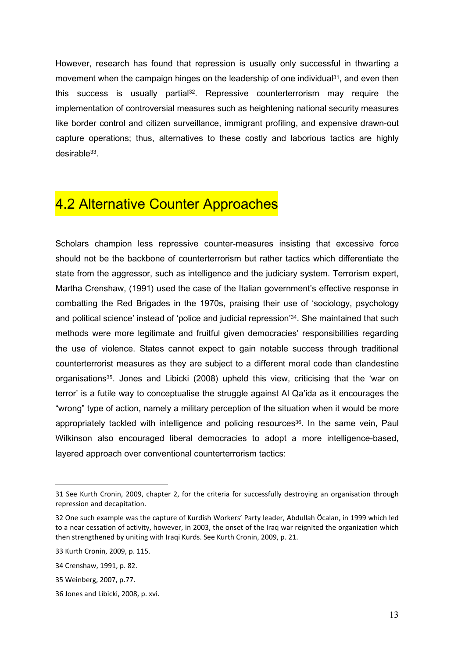However, research has found that repression is usually only successful in thwarting a movement when the campaign hinges on the leadership of one individual<sup>31</sup>, and even then this success is usually partial32. Repressive counterterrorism may require the implementation of controversial measures such as heightening national security measures like border control and citizen surveillance, immigrant profiling, and expensive drawn-out capture operations; thus, alternatives to these costly and laborious tactics are highly desirable<sup>33</sup>.

### 4.2 Alternative Counter Approaches

Scholars champion less repressive counter-measures insisting that excessive force should not be the backbone of counterterrorism but rather tactics which differentiate the state from the aggressor, such as intelligence and the judiciary system. Terrorism expert, Martha Crenshaw, (1991) used the case of the Italian government's effective response in combatting the Red Brigades in the 1970s, praising their use of 'sociology, psychology and political science' instead of 'police and judicial repression'34. She maintained that such methods were more legitimate and fruitful given democracies' responsibilities regarding the use of violence. States cannot expect to gain notable success through traditional counterterrorist measures as they are subject to a different moral code than clandestine organisations<sup>35</sup>. Jones and Libicki (2008) upheld this view, criticising that the 'war on terror' is a futile way to conceptualise the struggle against Al Qa'ida as it encourages the "wrong" type of action, namely a military perception of the situation when it would be more appropriately tackled with intelligence and policing resources<sup>36</sup>. In the same vein, Paul Wilkinson also encouraged liberal democracies to adopt a more intelligence-based, layered approach over conventional counterterrorism tactics:

<sup>31</sup> See Kurth Cronin, 2009, chapter 2, for the criteria for successfully destroying an organisation through repression and decapitation.

<sup>32</sup> One such example was the capture of Kurdish Workers' Party leader, Abdullah Öcalan, in 1999 which led to a near cessation of activity, however, in 2003, the onset of the Iraq war reignited the organization which then strengthened by uniting with Iraqi Kurds. See Kurth Cronin, 2009, p. 21.

<sup>33</sup> Kurth Cronin, 2009, p. 115.

<sup>34</sup> Crenshaw, 1991, p. 82.

<sup>35</sup> Weinberg, 2007, p.77.

<sup>36</sup> Jones and Libicki, 2008, p. xvi.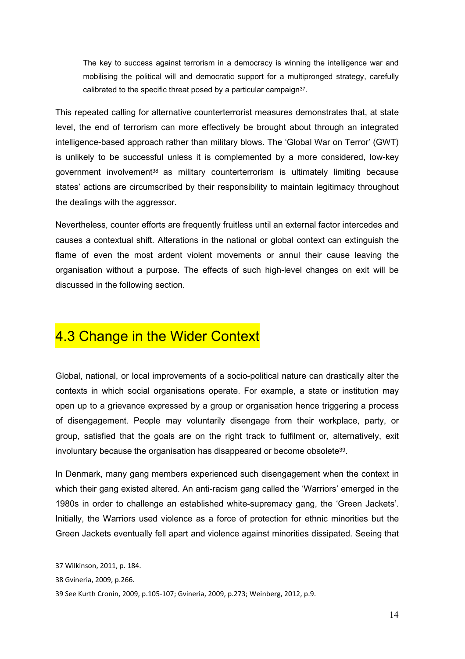The key to success against terrorism in a democracy is winning the intelligence war and mobilising the political will and democratic support for a multipronged strategy, carefully calibrated to the specific threat posed by a particular campaign<sup>37</sup>.

This repeated calling for alternative counterterrorist measures demonstrates that, at state level, the end of terrorism can more effectively be brought about through an integrated intelligence-based approach rather than military blows. The 'Global War on Terror' (GWT) is unlikely to be successful unless it is complemented by a more considered, low-key government involvement<sup>38</sup> as military counterterrorism is ultimately limiting because states' actions are circumscribed by their responsibility to maintain legitimacy throughout the dealings with the aggressor.

Nevertheless, counter efforts are frequently fruitless until an external factor intercedes and causes a contextual shift. Alterations in the national or global context can extinguish the flame of even the most ardent violent movements or annul their cause leaving the organisation without a purpose. The effects of such high-level changes on exit will be discussed in the following section.

### **4.3 Change in the Wider Context**

Global, national, or local improvements of a socio-political nature can drastically alter the contexts in which social organisations operate. For example, a state or institution may open up to a grievance expressed by a group or organisation hence triggering a process of disengagement. People may voluntarily disengage from their workplace, party, or group, satisfied that the goals are on the right track to fulfilment or, alternatively, exit involuntary because the organisation has disappeared or become obsolete<sup>39</sup>.

In Denmark, many gang members experienced such disengagement when the context in which their gang existed altered. An anti-racism gang called the 'Warriors' emerged in the 1980s in order to challenge an established white-supremacy gang, the 'Green Jackets'. Initially, the Warriors used violence as a force of protection for ethnic minorities but the Green Jackets eventually fell apart and violence against minorities dissipated. Seeing that

<sup>37</sup> Wilkinson, 2011, p. 184.

<sup>38</sup> Gvineria, 2009, p.266.

<sup>39</sup> See Kurth Cronin, 2009, p.105-107; Gvineria, 2009, p.273; Weinberg, 2012, p.9.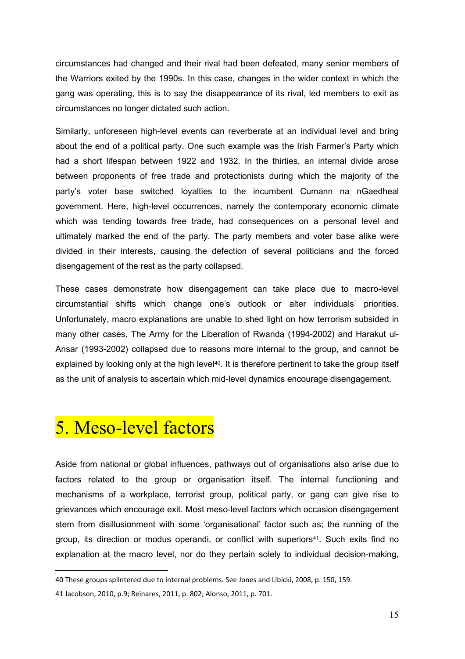circumstances had changed and their rival had been defeated, many senior members of the Warriors exited by the 1990s. In this case, changes in the wider context in which the gang was operating, this is to say the disappearance of its rival, led members to exit as circumstances no longer dictated such action.

Similarly, unforeseen high-level events can reverberate at an individual level and bring about the end of a political party. One such example was the Irish Farmer's Party which had a short lifespan between 1922 and 1932. In the thirties, an internal divide arose between proponents of free trade and protectionists during which the majority of the party's voter base switched loyalties to the incumbent Cumann na nGaedheal government. Here, high-level occurrences, namely the contemporary economic climate which was tending towards free trade, had consequences on a personal level and ultimately marked the end of the party. The party members and voter base alike were divided in their interests, causing the defection of several politicians and the forced disengagement of the rest as the party collapsed.

These cases demonstrate how disengagement can take place due to macro-level circumstantial shifts which change one's outlook or alter individuals' priorities. Unfortunately, macro explanations are unable to shed light on how terrorism subsided in many other cases. The Army for the Liberation of Rwanda (1994-2002) and Harakut ul-Ansar (1993-2002) collapsed due to reasons more internal to the group, and cannot be explained by looking only at the high level<sup>40</sup>. It is therefore pertinent to take the group itself as the unit of analysis to ascertain which mid-level dynamics encourage disengagement.

## 5. Meso-level factors

 $\overline{a}$ 

Aside from national or global influences, pathways out of organisations also arise due to factors related to the group or organisation itself. The internal functioning and mechanisms of a workplace, terrorist group, political party, or gang can give rise to grievances which encourage exit. Most meso-level factors which occasion disengagement stem from disillusionment with some 'organisational' factor such as; the running of the group, its direction or modus operandi, or conflict with superiors<sup>41</sup>. Such exits find no explanation at the macro level, nor do they pertain solely to individual decision-making,

<sup>40</sup> These groups splintered due to internal problems. See Jones and Libicki, 2008, p. 150, 159.

<sup>41</sup> Jacobson, 2010, p.9; Reinares, 2011, p. 802; Alonso, 2011, p. 701.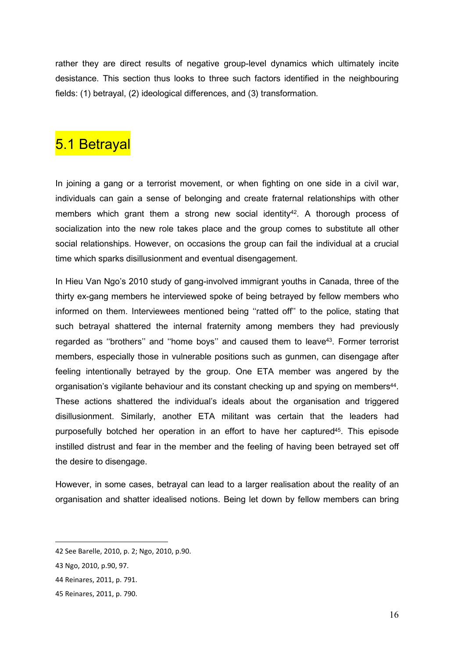rather they are direct results of negative group-level dynamics which ultimately incite desistance. This section thus looks to three such factors identified in the neighbouring fields: (1) betrayal, (2) ideological differences, and (3) transformation.

### 5.1 Betrayal

In joining a gang or a terrorist movement, or when fighting on one side in a civil war, individuals can gain a sense of belonging and create fraternal relationships with other members which grant them a strong new social identity<sup>42</sup>. A thorough process of socialization into the new role takes place and the group comes to substitute all other social relationships. However, on occasions the group can fail the individual at a crucial time which sparks disillusionment and eventual disengagement.

In Hieu Van Ngo's 2010 study of gang-involved immigrant youths in Canada, three of the thirty ex-gang members he interviewed spoke of being betrayed by fellow members who informed on them. Interviewees mentioned being ''ratted off'' to the police, stating that such betrayal shattered the internal fraternity among members they had previously regarded as "brothers" and "home boys" and caused them to leave<sup>43</sup>. Former terrorist members, especially those in vulnerable positions such as gunmen, can disengage after feeling intentionally betrayed by the group. One ETA member was angered by the organisation's vigilante behaviour and its constant checking up and spying on members<sup>44</sup>. These actions shattered the individual's ideals about the organisation and triggered disillusionment. Similarly, another ETA militant was certain that the leaders had purposefully botched her operation in an effort to have her captured<sup>45</sup>. This episode instilled distrust and fear in the member and the feeling of having been betrayed set off the desire to disengage.

However, in some cases, betrayal can lead to a larger realisation about the reality of an organisation and shatter idealised notions. Being let down by fellow members can bring

<sup>42</sup> See Barelle, 2010, p. 2; Ngo, 2010, p.90.

<sup>43</sup> Ngo, 2010, p.90, 97.

<sup>44</sup> Reinares, 2011, p. 791.

<sup>45</sup> Reinares, 2011, p. 790.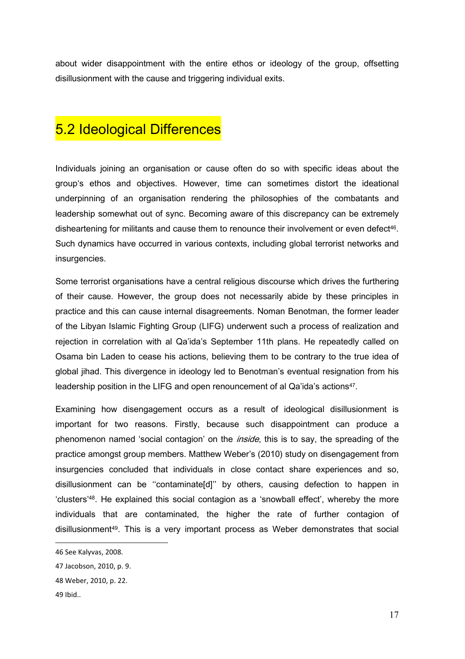about wider disappointment with the entire ethos or ideology of the group, offsetting disillusionment with the cause and triggering individual exits.

### 5.2 Ideological Differences

Individuals joining an organisation or cause often do so with specific ideas about the group's ethos and objectives. However, time can sometimes distort the ideational underpinning of an organisation rendering the philosophies of the combatants and leadership somewhat out of sync. Becoming aware of this discrepancy can be extremely disheartening for militants and cause them to renounce their involvement or even defect<sup>46</sup>. Such dynamics have occurred in various contexts, including global terrorist networks and insurgencies.

Some terrorist organisations have a central religious discourse which drives the furthering of their cause. However, the group does not necessarily abide by these principles in practice and this can cause internal disagreements. Noman Benotman, the former leader of the Libyan Islamic Fighting Group (LIFG) underwent such a process of realization and rejection in correlation with al Qa'ida's September 11th plans. He repeatedly called on Osama bin Laden to cease his actions, believing them to be contrary to the true idea of global jihad. This divergence in ideology led to Benotman's eventual resignation from his leadership position in the LIFG and open renouncement of al Qa'ida's actions<sup>47</sup>.

Examining how disengagement occurs as a result of ideological disillusionment is important for two reasons. Firstly, because such disappointment can produce a phenomenon named 'social contagion' on the *inside*, this is to say, the spreading of the practice amongst group members. Matthew Weber's (2010) study on disengagement from insurgencies concluded that individuals in close contact share experiences and so, disillusionment can be ''contaminate[d]'' by others, causing defection to happen in 'clusters'48. He explained this social contagion as a 'snowball effect', whereby the more individuals that are contaminated, the higher the rate of further contagion of disillusionment49. This is a very important process as Weber demonstrates that social

<sup>46</sup> See Kalyvas, 2008.

<sup>47</sup> Jacobson, 2010, p. 9.

<sup>48</sup> Weber, 2010, p. 22.

<sup>49</sup> Ibid..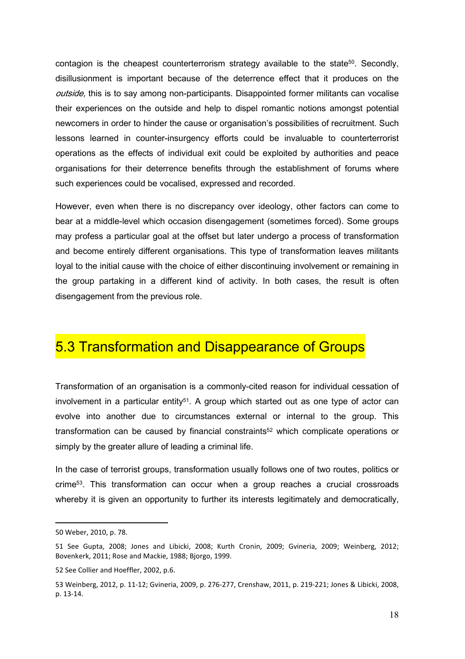contagion is the cheapest counterterrorism strategy available to the state<sup>50</sup>. Secondly, disillusionment is important because of the deterrence effect that it produces on the outside, this is to say among non-participants. Disappointed former militants can vocalise their experiences on the outside and help to dispel romantic notions amongst potential newcomers in order to hinder the cause or organisation's possibilities of recruitment. Such lessons learned in counter-insurgency efforts could be invaluable to counterterrorist operations as the effects of individual exit could be exploited by authorities and peace organisations for their deterrence benefits through the establishment of forums where such experiences could be vocalised, expressed and recorded.

However, even when there is no discrepancy over ideology, other factors can come to bear at a middle-level which occasion disengagement (sometimes forced). Some groups may profess a particular goal at the offset but later undergo a process of transformation and become entirely different organisations. This type of transformation leaves militants loyal to the initial cause with the choice of either discontinuing involvement or remaining in the group partaking in a different kind of activity. In both cases, the result is often disengagement from the previous role.

### 5.3 Transformation and Disappearance of Groups

Transformation of an organisation is a commonly-cited reason for individual cessation of involvement in a particular entity<sup>51</sup>. A group which started out as one type of actor can evolve into another due to circumstances external or internal to the group. This transformation can be caused by financial constraints52 which complicate operations or simply by the greater allure of leading a criminal life.

In the case of terrorist groups, transformation usually follows one of two routes, politics or crime53. This transformation can occur when a group reaches a crucial crossroads whereby it is given an opportunity to further its interests legitimately and democratically,

<sup>50</sup> Weber, 2010, p. 78.

<sup>51</sup> See Gupta, 2008; Jones and Libicki, 2008; Kurth Cronin, 2009; Gvineria, 2009; Weinberg, 2012; Bovenkerk, 2011; Rose and Mackie, 1988; Bjorgo, 1999.

<sup>52</sup> See Collier and Hoeffler, 2002, p.6.

<sup>53</sup> Weinberg, 2012, p. 11-12; Gvineria, 2009, p. 276-277, Crenshaw, 2011, p. 219-221; Jones & Libicki, 2008, p. 13-14.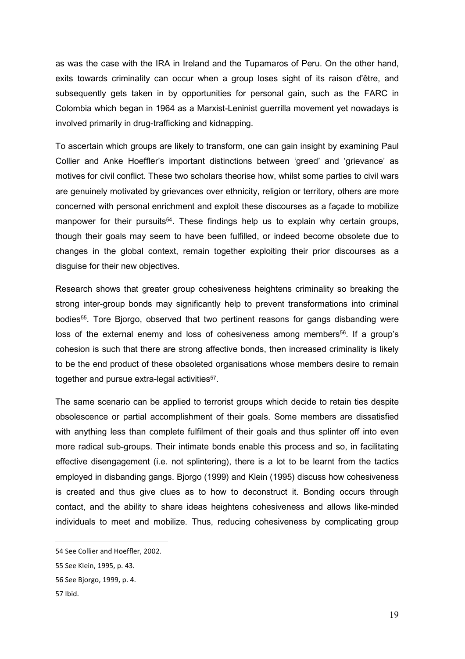as was the case with the IRA in Ireland and the Tupamaros of Peru. On the other hand, exits towards criminality can occur when a group loses sight of its raison d'être, and subsequently gets taken in by opportunities for personal gain, such as the FARC in Colombia which began in 1964 as a Marxist-Leninist guerrilla movement yet nowadays is involved primarily in drug-trafficking and kidnapping.

To ascertain which groups are likely to transform, one can gain insight by examining Paul Collier and Anke Hoeffler's important distinctions between 'greed' and 'grievance' as motives for civil conflict. These two scholars theorise how, whilst some parties to civil wars are genuinely motivated by grievances over ethnicity, religion or territory, others are more concerned with personal enrichment and exploit these discourses as a façade to mobilize manpower for their pursuits<sup>54</sup>. These findings help us to explain why certain groups, though their goals may seem to have been fulfilled, or indeed become obsolete due to changes in the global context, remain together exploiting their prior discourses as a disguise for their new objectives.

Research shows that greater group cohesiveness heightens criminality so breaking the strong inter-group bonds may significantly help to prevent transformations into criminal bodies<sup>55</sup>. Tore Bjorgo, observed that two pertinent reasons for gangs disbanding were loss of the external enemy and loss of cohesiveness among members<sup>56</sup>. If a group's cohesion is such that there are strong affective bonds, then increased criminality is likely to be the end product of these obsoleted organisations whose members desire to remain together and pursue extra-legal activities<sup>57</sup>.

The same scenario can be applied to terrorist groups which decide to retain ties despite obsolescence or partial accomplishment of their goals. Some members are dissatisfied with anything less than complete fulfilment of their goals and thus splinter off into even more radical sub-groups. Their intimate bonds enable this process and so, in facilitating effective disengagement (i.e. not splintering), there is a lot to be learnt from the tactics employed in disbanding gangs. Bjorgo (1999) and Klein (1995) discuss how cohesiveness is created and thus give clues as to how to deconstruct it. Bonding occurs through contact, and the ability to share ideas heightens cohesiveness and allows like-minded individuals to meet and mobilize. Thus, reducing cohesiveness by complicating group

<sup>54</sup> See Collier and Hoeffler, 2002.

<sup>55</sup> See Klein, 1995, p. 43.

<sup>56</sup> See Bjorgo, 1999, p. 4.

<sup>57</sup> Ibid.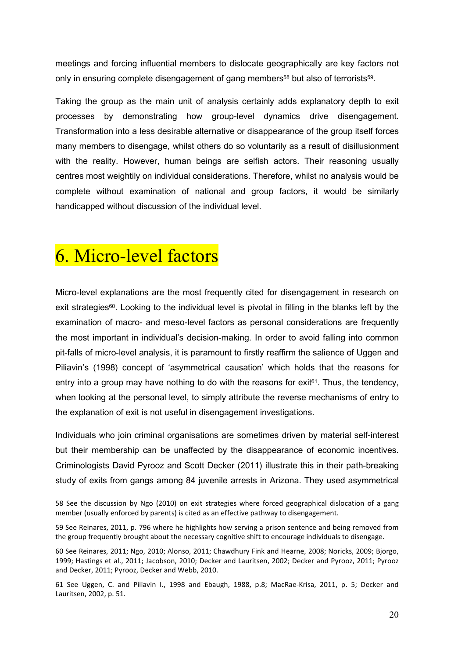meetings and forcing influential members to dislocate geographically are key factors not only in ensuring complete disengagement of gang members<sup>58</sup> but also of terrorists<sup>59</sup>.

Taking the group as the main unit of analysis certainly adds explanatory depth to exit processes by demonstrating how group-level dynamics drive disengagement. Transformation into a less desirable alternative or disappearance of the group itself forces many members to disengage, whilst others do so voluntarily as a result of disillusionment with the reality. However, human beings are selfish actors. Their reasoning usually centres most weightily on individual considerations. Therefore, whilst no analysis would be complete without examination of national and group factors, it would be similarly handicapped without discussion of the individual level.

## 6. Micro-level factors

 $\overline{a}$ 

Micro-level explanations are the most frequently cited for disengagement in research on exit strategies<sup>60</sup>. Looking to the individual level is pivotal in filling in the blanks left by the examination of macro- and meso-level factors as personal considerations are frequently the most important in individual's decision-making. In order to avoid falling into common pit-falls of micro-level analysis, it is paramount to firstly reaffirm the salience of Uggen and Piliavin's (1998) concept of 'asymmetrical causation' which holds that the reasons for entry into a group may have nothing to do with the reasons for exit<sup> $61$ </sup>. Thus, the tendency, when looking at the personal level, to simply attribute the reverse mechanisms of entry to the explanation of exit is not useful in disengagement investigations.

Individuals who join criminal organisations are sometimes driven by material self-interest but their membership can be unaffected by the disappearance of economic incentives. Criminologists David Pyrooz and Scott Decker (2011) illustrate this in their path-breaking study of exits from gangs among 84 juvenile arrests in Arizona. They used asymmetrical

<sup>58</sup> See the discussion by Ngo (2010) on exit strategies where forced geographical dislocation of a gang member (usually enforced by parents) is cited as an effective pathway to disengagement.

<sup>59</sup> See Reinares, 2011, p. 796 where he highlights how serving a prison sentence and being removed from the group frequently brought about the necessary cognitive shift to encourage individuals to disengage.

<sup>60</sup> See Reinares, 2011; Ngo, 2010; Alonso, 2011; Chawdhury Fink and Hearne, 2008; Noricks, 2009; Bjorgo, 1999; Hastings et al., 2011; Jacobson, 2010; Decker and Lauritsen, 2002; Decker and Pyrooz, 2011; Pyrooz and Decker, 2011; Pyrooz, Decker and Webb, 2010.

<sup>61</sup> See Uggen, C. and Piliavin I., 1998 and Ebaugh, 1988, p.8; MacRae-Krisa, 2011, p. 5; Decker and Lauritsen, 2002, p. 51.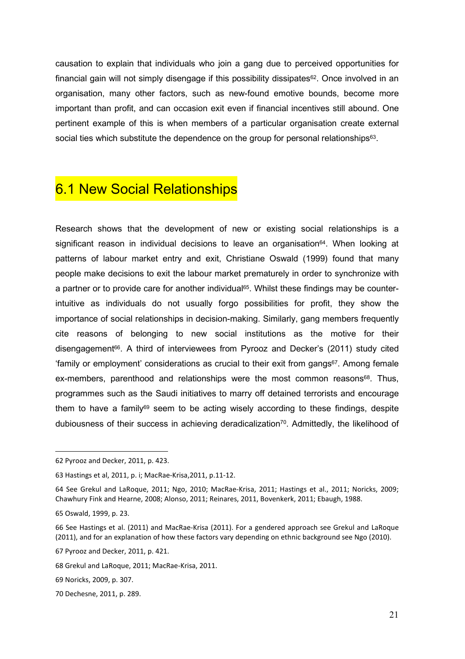causation to explain that individuals who join a gang due to perceived opportunities for financial gain will not simply disengage if this possibility dissipates<sup>62</sup>. Once involved in an organisation, many other factors, such as new-found emotive bounds, become more important than profit, and can occasion exit even if financial incentives still abound. One pertinent example of this is when members of a particular organisation create external social ties which substitute the dependence on the group for personal relationships $63$ .

### 6.1 New Social Relationships

Research shows that the development of new or existing social relationships is a significant reason in individual decisions to leave an organisation<sup>64</sup>. When looking at patterns of labour market entry and exit, Christiane Oswald (1999) found that many people make decisions to exit the labour market prematurely in order to synchronize with a partner or to provide care for another individual<sup>65</sup>. Whilst these findings may be counterintuitive as individuals do not usually forgo possibilities for profit, they show the importance of social relationships in decision-making. Similarly, gang members frequently cite reasons of belonging to new social institutions as the motive for their disengagement<sup>66</sup>. A third of interviewees from Pyrooz and Decker's (2011) study cited 'family or employment' considerations as crucial to their exit from gangs<sup>67</sup>. Among female ex-members, parenthood and relationships were the most common reasons<sup>68</sup>. Thus, programmes such as the Saudi initiatives to marry off detained terrorists and encourage them to have a family69 seem to be acting wisely according to these findings, despite dubiousness of their success in achieving deradicalization<sup>70</sup>. Admittedly, the likelihood of

<sup>62</sup> Pyrooz and Decker, 2011, p. 423.

<sup>63</sup> Hastings et al, 2011, p. i; MacRae-Krisa,2011, p.11-12.

<sup>64</sup> See Grekul and LaRoque, 2011; Ngo, 2010; MacRae-Krisa, 2011; Hastings et al., 2011; Noricks, 2009; Chawhury Fink and Hearne, 2008; Alonso, 2011; Reinares, 2011, Bovenkerk, 2011; Ebaugh, 1988.

<sup>65</sup> Oswald, 1999, p. 23.

<sup>66</sup> See Hastings et al. (2011) and MacRae-Krisa (2011). For a gendered approach see Grekul and LaRoque (2011), and for an explanation of how these factors vary depending on ethnic background see Ngo (2010).

<sup>67</sup> Pyrooz and Decker, 2011, p. 421.

<sup>68</sup> Grekul and LaRoque, 2011; MacRae-Krisa, 2011.

<sup>69</sup> Noricks, 2009, p. 307.

<sup>70</sup> Dechesne, 2011, p. 289.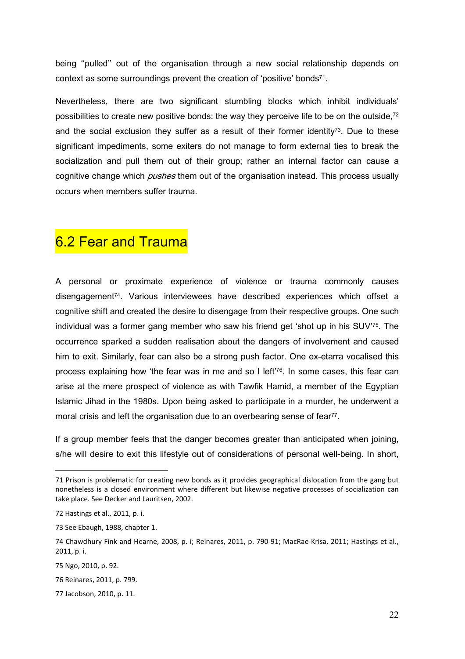being ''pulled'' out of the organisation through a new social relationship depends on context as some surroundings prevent the creation of 'positive' bonds<sup>71</sup> .

Nevertheless, there are two significant stumbling blocks which inhibit individuals' possibilities to create new positive bonds: the way they perceive life to be on the outside, $72$ and the social exclusion they suffer as a result of their former identity<sup>73</sup>. Due to these significant impediments, some exiters do not manage to form external ties to break the socialization and pull them out of their group; rather an internal factor can cause a cognitive change which *pushes* them out of the organisation instead. This process usually occurs when members suffer trauma.

### 6.2 Fear and Trauma

A personal or proximate experience of violence or trauma commonly causes disengagement74. Various interviewees have described experiences which offset a cognitive shift and created the desire to disengage from their respective groups. One such individual was a former gang member who saw his friend get 'shot up in his SUV'75. The occurrence sparked a sudden realisation about the dangers of involvement and caused him to exit. Similarly, fear can also be a strong push factor. One ex-etarra vocalised this process explaining how 'the fear was in me and so I left'76. In some cases, this fear can arise at the mere prospect of violence as with Tawfik Hamid, a member of the Egyptian Islamic Jihad in the 1980s. Upon being asked to participate in a murder, he underwent a moral crisis and left the organisation due to an overbearing sense of fear<sup>77</sup>.

If a group member feels that the danger becomes greater than anticipated when joining, s/he will desire to exit this lifestyle out of considerations of personal well-being. In short,

 $\overline{a}$ 

77 Jacobson, 2010, p. 11.

<sup>71</sup> Prison is problematic for creating new bonds as it provides geographical dislocation from the gang but nonetheless is a closed environment where different but likewise negative processes of socialization can take place. See Decker and Lauritsen, 2002.

<sup>72</sup> Hastings et al., 2011, p. i.

<sup>73</sup> See Ebaugh, 1988, chapter 1.

<sup>74</sup> Chawdhury Fink and Hearne, 2008, p. i; Reinares, 2011, p. 790-91; MacRae-Krisa, 2011; Hastings et al., 2011, p. i.

<sup>75</sup> Ngo, 2010, p. 92.

<sup>76</sup> Reinares, 2011, p. 799.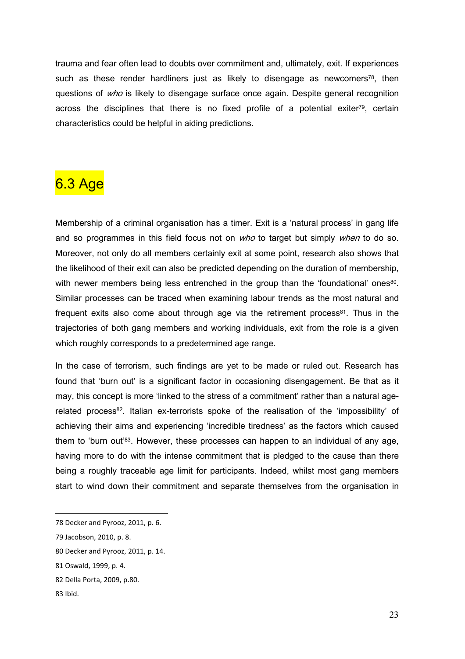trauma and fear often lead to doubts over commitment and, ultimately, exit. If experiences such as these render hardliners just as likely to disengage as newcomers<sup>78</sup>, then questions of who is likely to disengage surface once again. Despite general recognition across the disciplines that there is no fixed profile of a potential exiter<sup>79</sup>, certain characteristics could be helpful in aiding predictions.

### 6.3 Age

Membership of a criminal organisation has a timer. Exit is a 'natural process' in gang life and so programmes in this field focus not on who to target but simply when to do so. Moreover, not only do all members certainly exit at some point, research also shows that the likelihood of their exit can also be predicted depending on the duration of membership, with newer members being less entrenched in the group than the 'foundational' ones<sup>80</sup>. Similar processes can be traced when examining labour trends as the most natural and frequent exits also come about through age via the retirement process<sup>81</sup>. Thus in the trajectories of both gang members and working individuals, exit from the role is a given which roughly corresponds to a predetermined age range.

In the case of terrorism, such findings are yet to be made or ruled out. Research has found that 'burn out' is a significant factor in occasioning disengagement. Be that as it may, this concept is more 'linked to the stress of a commitment' rather than a natural agerelated process<sup>82</sup>. Italian ex-terrorists spoke of the realisation of the 'impossibility' of achieving their aims and experiencing 'incredible tiredness' as the factors which caused them to 'burn out'<sup>83</sup>. However, these processes can happen to an individual of any age, having more to do with the intense commitment that is pledged to the cause than there being a roughly traceable age limit for participants. Indeed, whilst most gang members start to wind down their commitment and separate themselves from the organisation in

<sup>78</sup> Decker and Pyrooz, 2011, p. 6.

<sup>79</sup> Jacobson, 2010, p. 8.

<sup>80</sup> Decker and Pyrooz, 2011, p. 14.

<sup>81</sup> Oswald, 1999, p. 4.

<sup>82</sup> Della Porta, 2009, p.80.

<sup>83</sup> Ibid.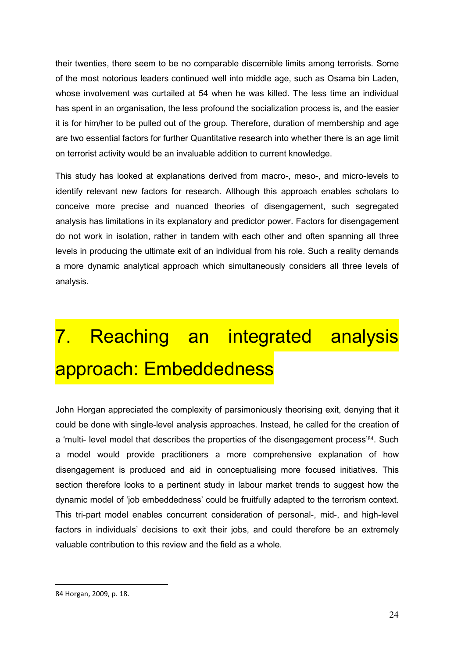their twenties, there seem to be no comparable discernible limits among terrorists. Some of the most notorious leaders continued well into middle age, such as Osama bin Laden, whose involvement was curtailed at 54 when he was killed. The less time an individual has spent in an organisation, the less profound the socialization process is, and the easier it is for him/her to be pulled out of the group. Therefore, duration of membership and age are two essential factors for further Quantitative research into whether there is an age limit on terrorist activity would be an invaluable addition to current knowledge.

This study has looked at explanations derived from macro-, meso-, and micro-levels to identify relevant new factors for research. Although this approach enables scholars to conceive more precise and nuanced theories of disengagement, such segregated analysis has limitations in its explanatory and predictor power. Factors for disengagement do not work in isolation, rather in tandem with each other and often spanning all three levels in producing the ultimate exit of an individual from his role. Such a reality demands a more dynamic analytical approach which simultaneously considers all three levels of analysis.

# 7. Reaching an integrated analysis approach: Embeddedness

John Horgan appreciated the complexity of parsimoniously theorising exit, denying that it could be done with single-level analysis approaches. Instead, he called for the creation of a 'multi- level model that describes the properties of the disengagement process<sup>'84</sup>. Such a model would provide practitioners a more comprehensive explanation of how disengagement is produced and aid in conceptualising more focused initiatives. This section therefore looks to a pertinent study in labour market trends to suggest how the dynamic model of 'job embeddedness' could be fruitfully adapted to the terrorism context. This tri-part model enables concurrent consideration of personal-, mid-, and high-level factors in individuals' decisions to exit their jobs, and could therefore be an extremely valuable contribution to this review and the field as a whole.

<sup>84</sup> Horgan, 2009, p. 18.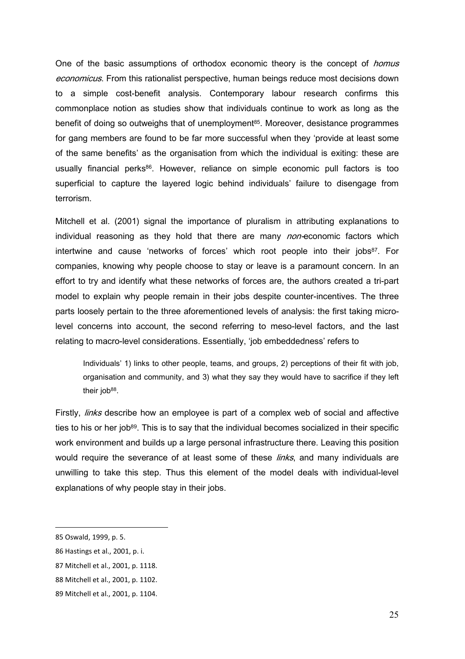One of the basic assumptions of orthodox economic theory is the concept of *homus* economicus. From this rationalist perspective, human beings reduce most decisions down to a simple cost-benefit analysis. Contemporary labour research confirms this commonplace notion as studies show that individuals continue to work as long as the benefit of doing so outweighs that of unemployment<sup>85</sup>. Moreover, desistance programmes for gang members are found to be far more successful when they 'provide at least some of the same benefits' as the organisation from which the individual is exiting: these are usually financial perks<sup>86</sup>. However, reliance on simple economic pull factors is too superficial to capture the layered logic behind individuals' failure to disengage from terrorism.

Mitchell et al. (2001) signal the importance of pluralism in attributing explanations to individual reasoning as they hold that there are many *non-*economic factors which intertwine and cause 'networks of forces' which root people into their jobs $87$ . For companies, knowing why people choose to stay or leave is a paramount concern. In an effort to try and identify what these networks of forces are, the authors created a tri-part model to explain why people remain in their jobs despite counter-incentives. The three parts loosely pertain to the three aforementioned levels of analysis: the first taking microlevel concerns into account, the second referring to meso-level factors, and the last relating to macro-level considerations. Essentially, 'job embeddedness' refers to

 Individuals' 1) links to other people, teams, and groups, 2) perceptions of their fit with job, organisation and community, and 3) what they say they would have to sacrifice if they left their job<sup>88</sup>.

Firstly, *links* describe how an employee is part of a complex web of social and affective ties to his or her job89. This is to say that the individual becomes socialized in their specific work environment and builds up a large personal infrastructure there. Leaving this position would require the severance of at least some of these *links*, and many individuals are unwilling to take this step. Thus this element of the model deals with individual-level explanations of why people stay in their jobs.

<sup>85</sup> Oswald, 1999, p. 5.

<sup>86</sup> Hastings et al., 2001, p. i.

<sup>87</sup> Mitchell et al., 2001, p. 1118.

<sup>88</sup> Mitchell et al., 2001, p. 1102.

<sup>89</sup> Mitchell et al., 2001, p. 1104.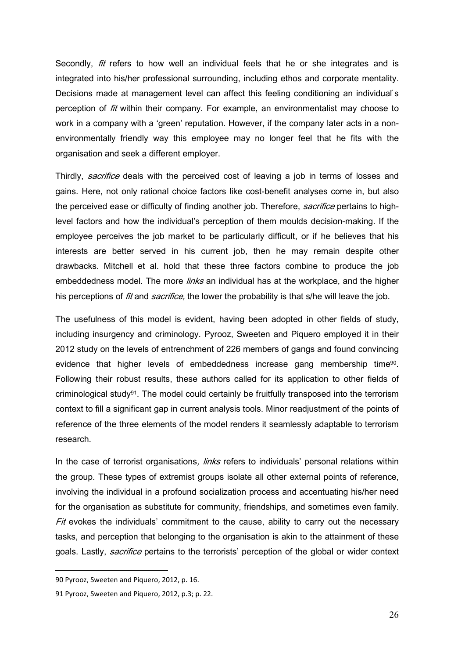Secondly, *fit* refers to how well an individual feels that he or she integrates and is integrated into his/her professional surrounding, including ethos and corporate mentality. Decisions made at management level can affect this feeling conditioning an individual s perception of fit within their company. For example, an environmentalist may choose to work in a company with a 'green' reputation. However, if the company later acts in a nonenvironmentally friendly way this employee may no longer feel that he fits with the organisation and seek a different employer.

Thirdly, *sacrifice* deals with the perceived cost of leaving a job in terms of losses and gains. Here, not only rational choice factors like cost-benefit analyses come in, but also the perceived ease or difficulty of finding another job. Therefore, *sacrifice* pertains to highlevel factors and how the individual's perception of them moulds decision-making. If the employee perceives the job market to be particularly difficult, or if he believes that his interests are better served in his current job, then he may remain despite other drawbacks. Mitchell et al. hold that these three factors combine to produce the job embeddedness model. The more *links* an individual has at the workplace, and the higher his perceptions of *fit* and *sacrifice*, the lower the probability is that s/he will leave the job.

The usefulness of this model is evident, having been adopted in other fields of study, including insurgency and criminology. Pyrooz, Sweeten and Piquero employed it in their 2012 study on the levels of entrenchment of 226 members of gangs and found convincing evidence that higher levels of embeddedness increase gang membership time<sup>90</sup>. Following their robust results, these authors called for its application to other fields of criminological study<sup>91</sup>. The model could certainly be fruitfully transposed into the terrorism context to fill a significant gap in current analysis tools. Minor readjustment of the points of reference of the three elements of the model renders it seamlessly adaptable to terrorism research.

In the case of terrorist organisations, *links* refers to individuals' personal relations within the group. These types of extremist groups isolate all other external points of reference, involving the individual in a profound socialization process and accentuating his/her need for the organisation as substitute for community, friendships, and sometimes even family. *Fit* evokes the individuals' commitment to the cause, ability to carry out the necessary tasks, and perception that belonging to the organisation is akin to the attainment of these goals. Lastly, *sacrifice* pertains to the terrorists' perception of the global or wider context

<sup>90</sup> Pyrooz, Sweeten and Piquero, 2012, p. 16.

<sup>91</sup> Pyrooz, Sweeten and Piquero, 2012, p.3; p. 22.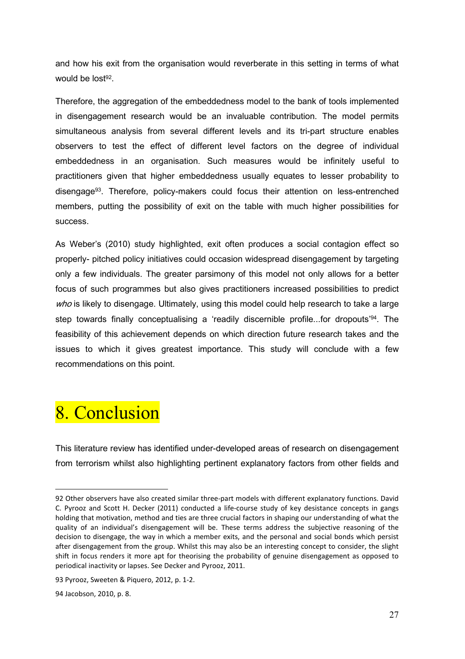and how his exit from the organisation would reverberate in this setting in terms of what would be lost<sup>92</sup>.

Therefore, the aggregation of the embeddedness model to the bank of tools implemented in disengagement research would be an invaluable contribution. The model permits simultaneous analysis from several different levels and its tri-part structure enables observers to test the effect of different level factors on the degree of individual embeddedness in an organisation. Such measures would be infinitely useful to practitioners given that higher embeddedness usually equates to lesser probability to disengage93. Therefore, policy-makers could focus their attention on less-entrenched members, putting the possibility of exit on the table with much higher possibilities for success.

As Weber's (2010) study highlighted, exit often produces a social contagion effect so properly- pitched policy initiatives could occasion widespread disengagement by targeting only a few individuals. The greater parsimony of this model not only allows for a better focus of such programmes but also gives practitioners increased possibilities to predict who is likely to disengage. Ultimately, using this model could help research to take a large step towards finally conceptualising a 'readily discernible profile...for dropouts'<sup>94</sup>. The feasibility of this achievement depends on which direction future research takes and the issues to which it gives greatest importance. This study will conclude with a few recommendations on this point.

## 8. Conclusion

This literature review has identified under-developed areas of research on disengagement from terrorism whilst also highlighting pertinent explanatory factors from other fields and

<sup>92</sup> Other observers have also created similar three-part models with different explanatory functions. David C. Pyrooz and Scott H. Decker (2011) conducted a life-course study of key desistance concepts in gangs holding that motivation, method and ties are three crucial factors in shaping our understanding of what the quality of an individual's disengagement will be. These terms address the subjective reasoning of the decision to disengage, the way in which a member exits, and the personal and social bonds which persist after disengagement from the group. Whilst this may also be an interesting concept to consider, the slight shift in focus renders it more apt for theorising the probability of genuine disengagement as opposed to periodical inactivity or lapses. See Decker and Pyrooz, 2011.

<sup>93</sup> Pyrooz, Sweeten & Piquero, 2012, p. 1-2.

<sup>94</sup> Jacobson, 2010, p. 8.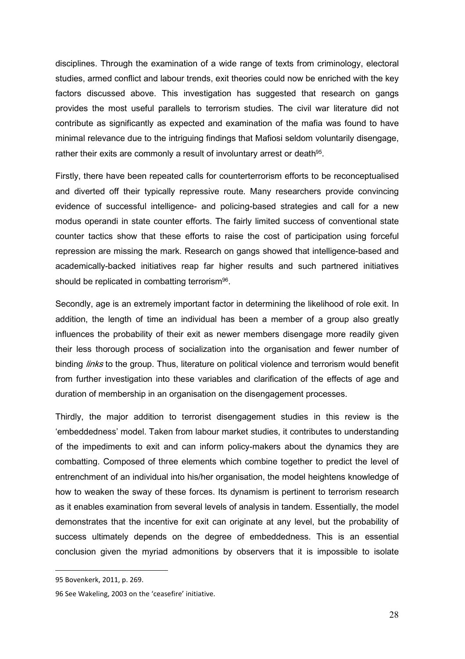disciplines. Through the examination of a wide range of texts from criminology, electoral studies, armed conflict and labour trends, exit theories could now be enriched with the key factors discussed above. This investigation has suggested that research on gangs provides the most useful parallels to terrorism studies. The civil war literature did not contribute as significantly as expected and examination of the mafia was found to have minimal relevance due to the intriguing findings that Mafiosi seldom voluntarily disengage, rather their exits are commonly a result of involuntary arrest or death<sup>95</sup>.

Firstly, there have been repeated calls for counterterrorism efforts to be reconceptualised and diverted off their typically repressive route. Many researchers provide convincing evidence of successful intelligence- and policing-based strategies and call for a new modus operandi in state counter efforts. The fairly limited success of conventional state counter tactics show that these efforts to raise the cost of participation using forceful repression are missing the mark. Research on gangs showed that intelligence-based and academically-backed initiatives reap far higher results and such partnered initiatives should be replicated in combatting terrorism<sup>96</sup>.

Secondly, age is an extremely important factor in determining the likelihood of role exit. In addition, the length of time an individual has been a member of a group also greatly influences the probability of their exit as newer members disengage more readily given their less thorough process of socialization into the organisation and fewer number of binding *links* to the group. Thus, literature on political violence and terrorism would benefit from further investigation into these variables and clarification of the effects of age and duration of membership in an organisation on the disengagement processes.

Thirdly, the major addition to terrorist disengagement studies in this review is the 'embeddedness' model. Taken from labour market studies, it contributes to understanding of the impediments to exit and can inform policy-makers about the dynamics they are combatting. Composed of three elements which combine together to predict the level of entrenchment of an individual into his/her organisation, the model heightens knowledge of how to weaken the sway of these forces. Its dynamism is pertinent to terrorism research as it enables examination from several levels of analysis in tandem. Essentially, the model demonstrates that the incentive for exit can originate at any level, but the probability of success ultimately depends on the degree of embeddedness. This is an essential conclusion given the myriad admonitions by observers that it is impossible to isolate

<sup>95</sup> Bovenkerk, 2011, p. 269.

<sup>96</sup> See Wakeling, 2003 on the 'ceasefire' initiative.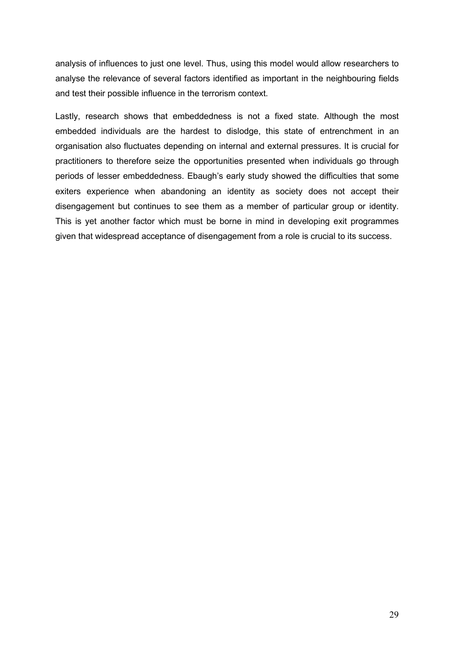analysis of influences to just one level. Thus, using this model would allow researchers to analyse the relevance of several factors identified as important in the neighbouring fields and test their possible influence in the terrorism context.

Lastly, research shows that embeddedness is not a fixed state. Although the most embedded individuals are the hardest to dislodge, this state of entrenchment in an organisation also fluctuates depending on internal and external pressures. It is crucial for practitioners to therefore seize the opportunities presented when individuals go through periods of lesser embeddedness. Ebaugh's early study showed the difficulties that some exiters experience when abandoning an identity as society does not accept their disengagement but continues to see them as a member of particular group or identity. This is yet another factor which must be borne in mind in developing exit programmes given that widespread acceptance of disengagement from a role is crucial to its success.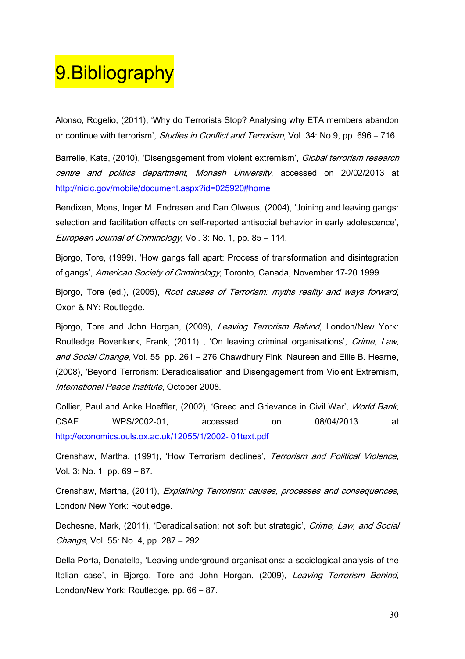## 9.Bibliography

Alonso, Rogelio, (2011), 'Why do Terrorists Stop? Analysing why ETA members abandon or continue with terrorism', *Studies in Conflict and Terrorism*, Vol. 34: No.9, pp. 696 – 716.

Barrelle, Kate, (2010), 'Disengagement from violent extremism', Global terrorism research centre and politics department, Monash University, accessed on 20/02/2013 at http://nicic.gov/mobile/document.aspx?id=025920#home

Bendixen, Mons, Inger M. Endresen and Dan Olweus, (2004), 'Joining and leaving gangs: selection and facilitation effects on self-reported antisocial behavior in early adolescence', European Journal of Criminology, Vol. 3: No. 1, pp. 85 – 114.

Bjorgo, Tore, (1999), 'How gangs fall apart: Process of transformation and disintegration of gangs', American Society of Criminology, Toronto, Canada, November 17-20 1999.

Bjorgo, Tore (ed.), (2005), *Root causes of Terrorism: myths reality and ways forward*, Oxon & NY: Routlegde.

Bjorgo, Tore and John Horgan, (2009), Leaving Terrorism Behind, London/New York: Routledge Bovenkerk, Frank, (2011) , 'On leaving criminal organisations', Crime, Law, and Social Change, Vol. 55, pp. 261 – 276 Chawdhury Fink, Naureen and Ellie B. Hearne, (2008), 'Beyond Terrorism: Deradicalisation and Disengagement from Violent Extremism, International Peace Institute, October 2008.

Collier, Paul and Anke Hoeffler, (2002), 'Greed and Grievance in Civil War', World Bank, CSAE WPS/2002-01, accessed on 08/04/2013 at http://economics.ouls.ox.ac.uk/12055/1/2002- 01text.pdf

Crenshaw, Martha, (1991), 'How Terrorism declines', Terrorism and Political Violence, Vol. 3: No. 1, pp. 69 – 87.

Crenshaw, Martha, (2011), Explaining Terrorism: causes, processes and consequences, London/ New York: Routledge.

Dechesne, Mark, (2011), 'Deradicalisation: not soft but strategic', Crime, Law, and Social Change, Vol. 55: No. 4, pp. 287 – 292.

Della Porta, Donatella, 'Leaving underground organisations: a sociological analysis of the Italian case', in Bjorgo, Tore and John Horgan, (2009), Leaving Terrorism Behind, London/New York: Routledge, pp. 66 – 87.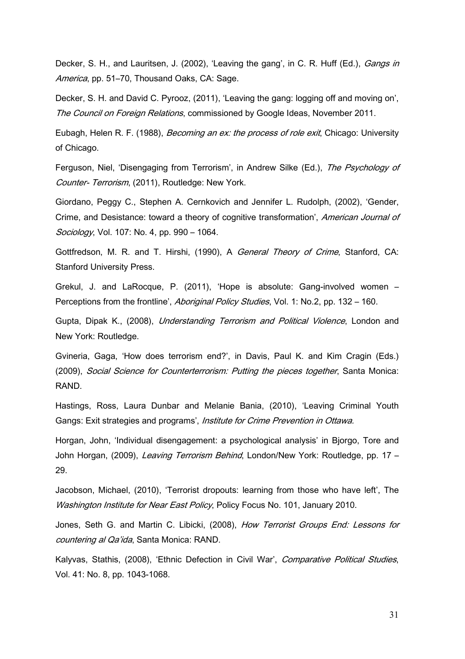Decker, S. H., and Lauritsen, J. (2002), 'Leaving the gang', in C. R. Huff (Ed.), *Gangs in* America, pp. 51–70, Thousand Oaks, CA: Sage.

Decker, S. H. and David C. Pyrooz, (2011), 'Leaving the gang: logging off and moving on', The Council on Foreign Relations, commissioned by Google Ideas, November 2011.

Eubagh, Helen R. F. (1988), *Becoming an ex: the process of role exit*, Chicago: University of Chicago.

Ferguson, Niel, 'Disengaging from Terrorism', in Andrew Silke (Ed.), The Psychology of Counter- Terrorism, (2011), Routledge: New York.

Giordano, Peggy C., Stephen A. Cernkovich and Jennifer L. Rudolph, (2002), 'Gender, Crime, and Desistance: toward a theory of cognitive transformation', American Journal of Sociology, Vol. 107: No. 4, pp. 990 – 1064.

Gottfredson, M. R. and T. Hirshi, (1990), A General Theory of Crime, Stanford, CA: Stanford University Press.

Grekul, J. and LaRocque, P. (2011), 'Hope is absolute: Gang-involved women – Perceptions from the frontline', Aboriginal Policy Studies, Vol. 1: No.2, pp. 132 - 160.

Gupta, Dipak K., (2008), Understanding Terrorism and Political Violence, London and New York: Routledge.

Gvineria, Gaga, 'How does terrorism end?', in Davis, Paul K. and Kim Cragin (Eds.) (2009), Social Science for Counterterrorism: Putting the pieces together, Santa Monica: RAND.

Hastings, Ross, Laura Dunbar and Melanie Bania, (2010), 'Leaving Criminal Youth Gangs: Exit strategies and programs', Institute for Crime Prevention in Ottawa.

Horgan, John, 'Individual disengagement: a psychological analysis' in Bjorgo, Tore and John Horgan, (2009), *Leaving Terrorism Behind*, London/New York: Routledge, pp. 17 – 29.

Jacobson, Michael, (2010), 'Terrorist dropouts: learning from those who have left', The Washington Institute for Near East Policy, Policy Focus No. 101, January 2010.

Jones, Seth G. and Martin C. Libicki, (2008), How Terrorist Groups End: Lessons for countering al Qa'ida, Santa Monica: RAND.

Kalyvas, Stathis, (2008), 'Ethnic Defection in Civil War', Comparative Political Studies, Vol. 41: No. 8, pp. 1043-1068.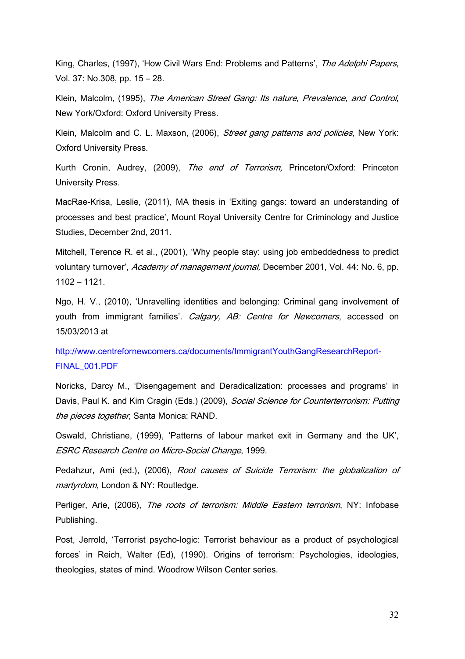King, Charles, (1997), 'How Civil Wars End: Problems and Patterns', The Adelphi Papers, Vol. 37: No.308, pp. 15 – 28.

Klein, Malcolm, (1995), The American Street Gang: Its nature, Prevalence, and Control, New York/Oxford: Oxford University Press.

Klein, Malcolm and C. L. Maxson, (2006), Street gang patterns and policies, New York: Oxford University Press.

Kurth Cronin, Audrey, (2009), *The end of Terrorism*, Princeton/Oxford: Princeton University Press.

MacRae-Krisa, Leslie, (2011), MA thesis in 'Exiting gangs: toward an understanding of processes and best practice', Mount Royal University Centre for Criminology and Justice Studies, December 2nd, 2011.

Mitchell, Terence R. et al., (2001), 'Why people stay: using job embeddedness to predict voluntary turnover', Academy of management journal, December 2001, Vol. 44: No. 6, pp. 1102 – 1121.

Ngo, H. V., (2010), 'Unravelling identities and belonging: Criminal gang involvement of youth from immigrant families'. Calgary, AB: Centre for Newcomers, accessed on 15/03/2013 at

http://www.centrefornewcomers.ca/documents/ImmigrantYouthGangResearchReport-FINAL\_001.PDF

Noricks, Darcy M., 'Disengagement and Deradicalization: processes and programs' in Davis, Paul K. and Kim Cragin (Eds.) (2009), Social Science for Counterterrorism: Putting the pieces together, Santa Monica: RAND.

Oswald, Christiane, (1999), 'Patterns of labour market exit in Germany and the UK', ESRC Research Centre on Micro-Social Change, 1999.

Pedahzur, Ami (ed.), (2006), Root causes of Suicide Terrorism: the globalization of martyrdom, London & NY: Routledge.

Perliger, Arie, (2006), The roots of terrorism: Middle Eastern terrorism, NY: Infobase Publishing.

Post, Jerrold, 'Terrorist psycho-logic: Terrorist behaviour as a product of psychological forces' in Reich, Walter (Ed), (1990). Origins of terrorism: Psychologies, ideologies, theologies, states of mind. Woodrow Wilson Center series.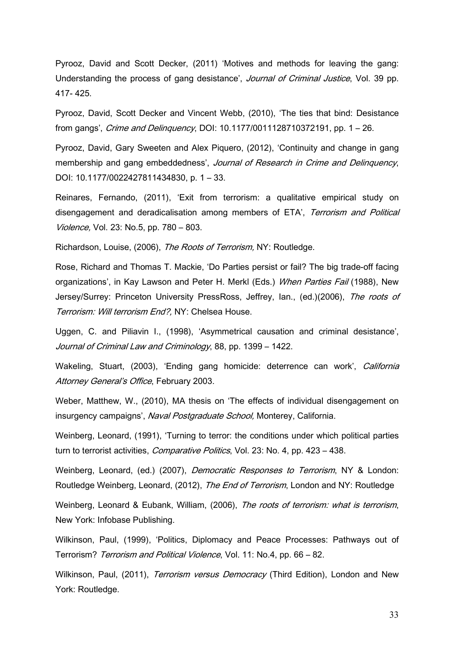Pyrooz, David and Scott Decker, (2011) 'Motives and methods for leaving the gang: Understanding the process of gang desistance', *Journal of Criminal Justice*, Vol. 39 pp. 417- 425.

Pyrooz, David, Scott Decker and Vincent Webb, (2010), 'The ties that bind: Desistance from gangs', Crime and Delinquency, DOI: 10.1177/0011128710372191, pp. 1 – 26.

Pyrooz, David, Gary Sweeten and Alex Piquero, (2012), 'Continuity and change in gang membership and gang embeddedness', Journal of Research in Crime and Delinquency, DOI: 10.1177/0022427811434830, p. 1 – 33.

Reinares, Fernando, (2011), 'Exit from terrorism: a qualitative empirical study on disengagement and deradicalisation among members of ETA', Terrorism and Political Violence, Vol. 23: No.5, pp. 780 – 803.

Richardson, Louise, (2006), The Roots of Terrorism, NY: Routledge.

Rose, Richard and Thomas T. Mackie, 'Do Parties persist or fail? The big trade-off facing organizations', in Kay Lawson and Peter H. Merkl (Eds.) When Parties Fail (1988), New Jersey/Surrey: Princeton University PressRoss, Jeffrey, Ian., (ed.)(2006), The roots of Terrorism: Will terrorism End?, NY: Chelsea House.

Uggen, C. and Piliavin I., (1998), 'Asymmetrical causation and criminal desistance', Journal of Criminal Law and Criminology, 88, pp. 1399 – 1422.

Wakeling, Stuart, (2003), 'Ending gang homicide: deterrence can work', *California* Attorney General's Office, February 2003.

Weber, Matthew, W., (2010), MA thesis on 'The effects of individual disengagement on insurgency campaigns', Naval Postgraduate School, Monterey, California.

Weinberg, Leonard, (1991), 'Turning to terror: the conditions under which political parties turn to terrorist activities, *Comparative Politics*, Vol. 23: No. 4, pp. 423 – 438.

Weinberg, Leonard, (ed.) (2007), *Democratic Responses to Terrorism*, NY & London: Routledge Weinberg, Leonard, (2012), *The End of Terrorism*, London and NY: Routledge

Weinberg, Leonard & Eubank, William, (2006), The roots of terrorism: what is terrorism, New York: Infobase Publishing.

Wilkinson, Paul, (1999), 'Politics, Diplomacy and Peace Processes: Pathways out of Terrorism? Terrorism and Political Violence, Vol. 11: No.4, pp. 66 – 82.

Wilkinson, Paul, (2011), Terrorism versus Democracy (Third Edition), London and New York: Routledge.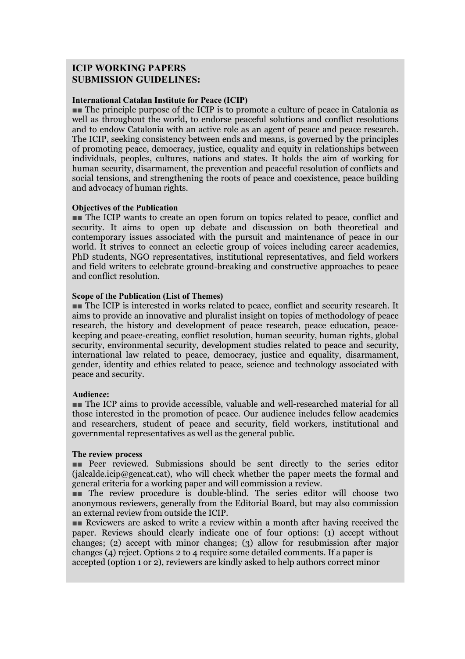#### **ICIP WORKING PAPERS SUBMISSION GUIDELINES:**

#### **International Catalan Institute for Peace (ICIP)**

■■ The principle purpose of the ICIP is to promote a culture of peace in Catalonia as well as throughout the world, to endorse peaceful solutions and conflict resolutions and to endow Catalonia with an active role as an agent of peace and peace research. The ICIP, seeking consistency between ends and means, is governed by the principles of promoting peace, democracy, justice, equality and equity in relationships between individuals, peoples, cultures, nations and states. It holds the aim of working for human security, disarmament, the prevention and peaceful resolution of conflicts and social tensions, and strengthening the roots of peace and coexistence, peace building and advocacy of human rights.

#### **Objectives of the Publication**

■■ The ICIP wants to create an open forum on topics related to peace, conflict and security. It aims to open up debate and discussion on both theoretical and contemporary issues associated with the pursuit and maintenance of peace in our world. It strives to connect an eclectic group of voices including career academics, PhD students, NGO representatives, institutional representatives, and field workers and field writers to celebrate ground-breaking and constructive approaches to peace and conflict resolution.

#### **Scope of the Publication (List of Themes)**

**IFFER 19.5** The ICIP is interested in works related to peace, conflict and security research. It aims to provide an innovative and pluralist insight on topics of methodology of peace research, the history and development of peace research, peace education, peacekeeping and peace-creating, conflict resolution, human security, human rights, global security, environmental security, development studies related to peace and security, international law related to peace, democracy, justice and equality, disarmament, gender, identity and ethics related to peace, science and technology associated with peace and security.

#### **Audience:**

■■ The ICP aims to provide accessible, valuable and well-researched material for all those interested in the promotion of peace. Our audience includes fellow academics and researchers, student of peace and security, field workers, institutional and governmental representatives as well as the general public.

#### **The review process**

■■ Peer reviewed. Submissions should be sent directly to the series editor (jalcalde.icip@gencat.cat), who will check whether the paper meets the formal and general criteria for a working paper and will commission a review.

■■ The review procedure is double-blind. The series editor will choose two anonymous reviewers, generally from the Editorial Board, but may also commission an external review from outside the ICIP.

■■ Reviewers are asked to write a review within a month after having received the paper. Reviews should clearly indicate one of four options: (1) accept without changes; (2) accept with minor changes; (3) allow for resubmission after major changes (4) reject. Options 2 to 4 require some detailed comments. If a paper is accepted (option 1 or 2), reviewers are kindly asked to help authors correct minor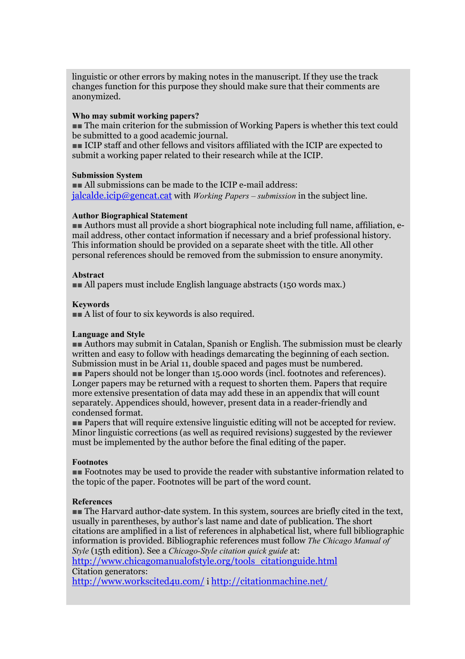linguistic or other errors by making notes in the manuscript. If they use the track changes function for this purpose they should make sure that their comments are anonymized.

#### **Who may submit working papers?**

■■ The main criterion for the submission of Working Papers is whether this text could be submitted to a good academic journal.

■■ ICIP staff and other fellows and visitors affiliated with the ICIP are expected to submit a working paper related to their research while at the ICIP.

#### **Submission System**

■■ All submissions can be made to the ICIP e-mail address: jalcalde.icip@gencat.cat with *Working Papers – submission* in the subject line.

#### **Author Biographical Statement**

■■ Authors must all provide a short biographical note including full name, affiliation, email address, other contact information if necessary and a brief professional history. This information should be provided on a separate sheet with the title. All other personal references should be removed from the submission to ensure anonymity.

#### **Abstract**

■■ All papers must include English language abstracts (150 words max.)

#### **Keywords**

■■ A list of four to six keywords is also required.

#### **Language and Style**

■■ Authors may submit in Catalan, Spanish or English. The submission must be clearly written and easy to follow with headings demarcating the beginning of each section. Submission must in be Arial 11, double spaced and pages must be numbered. ■■ Papers should not be longer than 15.000 words (incl. footnotes and references). Longer papers may be returned with a request to shorten them. Papers that require more extensive presentation of data may add these in an appendix that will count separately. Appendices should, however, present data in a reader-friendly and condensed format.

■■ Papers that will require extensive linguistic editing will not be accepted for review. Minor linguistic corrections (as well as required revisions) suggested by the reviewer must be implemented by the author before the final editing of the paper.

#### **Footnotes**

■■ Footnotes may be used to provide the reader with substantive information related to the topic of the paper. Footnotes will be part of the word count.

#### **References**

■■ The Harvard author-date system. In this system, sources are briefly cited in the text, usually in parentheses, by author's last name and date of publication. The short citations are amplified in a list of references in alphabetical list, where full bibliographic information is provided. Bibliographic references must follow *The Chicago Manual of Style* (15th edition). See a *Chicago-Style citation quick guide* at:

http://www.chicagomanualofstyle.org/tools\_citationguide.html Citation generators:

http://www.workscited4u.com/ i http://citationmachine.net/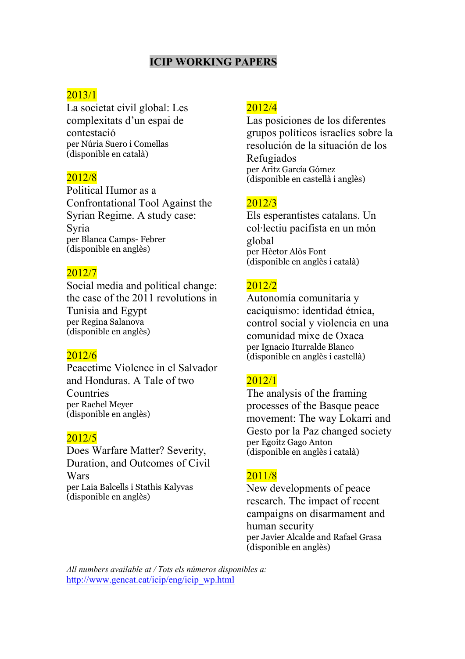#### **ICIP WORKING PAPERS**

#### 2013/1

La societat civil global: Les complexitats d'un espai de contestació per Núria Suero i Comellas (disponible en català)

#### 2012/8

Political Humor as a Confrontational Tool Against the Syrian Regime. A study case: Syria per Blanca Camps- Febrer (disponible en anglès)

#### 2012/7

Social media and political change: the case of the 2011 revolutions in Tunisia and Egypt per Regina Salanova (disponible en anglès)

#### 2012/6

Peacetime Violence in el Salvador and Honduras. A Tale of two **Countries** per Rachel Meyer (disponible en anglès)

#### 2012/5

Does Warfare Matter? Severity, Duration, and Outcomes of Civil Wars per Laia Balcells i Stathis Kalyvas (disponible en anglès)

#### 2012/4

Las posiciones de los diferentes grupos políticos israelíes sobre la resolución de la situación de los Refugiados per Aritz García Gómez (disponible en castellà i anglès)

#### 2012/3

Els esperantistes catalans. Un col·lectiu pacifista en un món global per Hèctor Alòs Font (disponible en anglès i català)

#### 2012/2

Autonomía comunitaria y caciquismo: identidad étnica, control social y violencia en una comunidad mixe de Oxaca per Ignacio Iturralde Blanco (disponible en anglès i castellà)

#### 2012/1

The analysis of the framing processes of the Basque peace movement: The way Lokarri and Gesto por la Paz changed society per Egoitz Gago Anton (disponible en anglès i català)

#### 2011/8

New developments of peace research. The impact of recent campaigns on disarmament and human security per Javier Alcalde and Rafael Grasa (disponible en anglès)

*All numbers available at / Tots els números disponibles a:* http://www.gencat.cat/icip/eng/icip\_wp.html